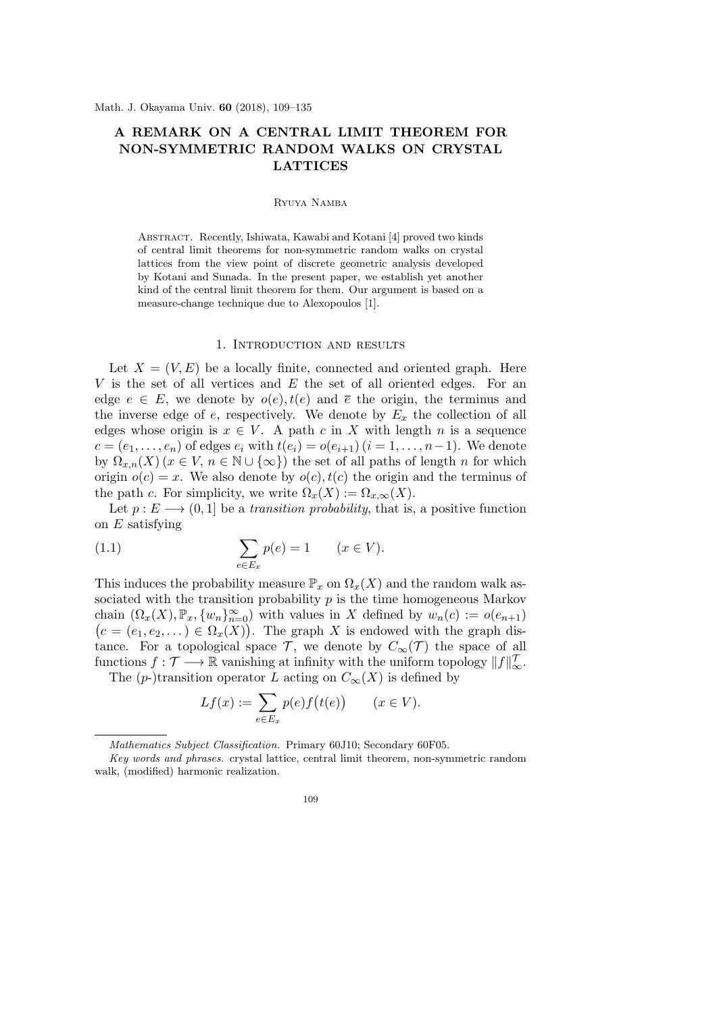# **A REMARK ON A CENTRAL LIMIT THEOREM FOR NON-SYMMETRIC RANDOM WALKS ON CRYSTAL LATTICES**

# Ryuya Namba

Abstract. Recently, Ishiwata, Kawabi and Kotani [4] proved two kinds of central limit theorems for non-symmetric random walks on crystal lattices from the view point of discrete geometric analysis developed by Kotani and Sunada. In the present paper, we establish yet another kind of the central limit theorem for them. Our argument is based on a measure-change technique due to Alexopoulos [1].

#### 1. Introduction and results

Let  $X = (V, E)$  be a locally finite, connected and oriented graph. Here *V* is the set of all vertices and *E* the set of all oriented edges. For an edge  $e \in E$ , we denote by  $o(e)$ ,  $t(e)$  and  $\overline{e}$  the origin, the terminus and the inverse edge of  $e$ , respectively. We denote by  $E_x$  the collection of all edges whose origin is  $x \in V$ . A path c in X with length n is a sequence *c* =  $(e_1, \ldots, e_n)$  of edges  $e_i$  with  $t(e_i) = o(e_{i+1})$  (*i* = 1, . . . , *n*−1). We denote by  $\Omega_{x,n}(X)$  ( $x \in V, n \in \mathbb{N} \cup \{\infty\}$ ) the set of all paths of length *n* for which origin  $o(c) = x$ . We also denote by  $o(c)$ ,  $t(c)$  the origin and the terminus of the path *c*. For simplicity, we write  $\Omega_x(X) := \Omega_{x,\infty}(X)$ .

Let  $p: E \longrightarrow (0,1]$  be a *transition probability*, that is, a positive function on *E* satisfying

(1.1) 
$$
\sum_{e \in E_x} p(e) = 1 \qquad (x \in V).
$$

This induces the probability measure  $\mathbb{P}_x$  on  $\Omega_x(X)$  and the random walk associated with the transition probability *p* is the time homogeneous Markov chain  $(\Omega_x(X), \mathbb{P}_x, \{w_n\}_{n=0}^{\infty})$  with values in *X* defined by  $w_n(c) := o(e_{n+1})$  $(c = (e_1, e_2, \dots) \in \Omega_x(X))$ . The graph *X* is endowed with the graph distance. For a topological space  $\mathcal{T}$ , we denote by  $C_{\infty}(\mathcal{T})$  the space of all functions  $f : \mathcal{T} \longrightarrow \mathbb{R}$  vanishing at infinity with the uniform topology  $||f||_{\infty}^{\mathcal{T}}$ .

The (*p*-)transition operator *L* acting on  $C_{\infty}(X)$  is defined by

$$
Lf(x) := \sum_{e \in E_x} p(e)f(t(e)) \qquad (x \in V).
$$

*Mathematics Subject Classification.* Primary 60J10; Secondary 60F05.

*Key words and phrases.* crystal lattice, central limit theorem, non-symmetric random walk, (modified) harmonic realization.

<sup>109</sup>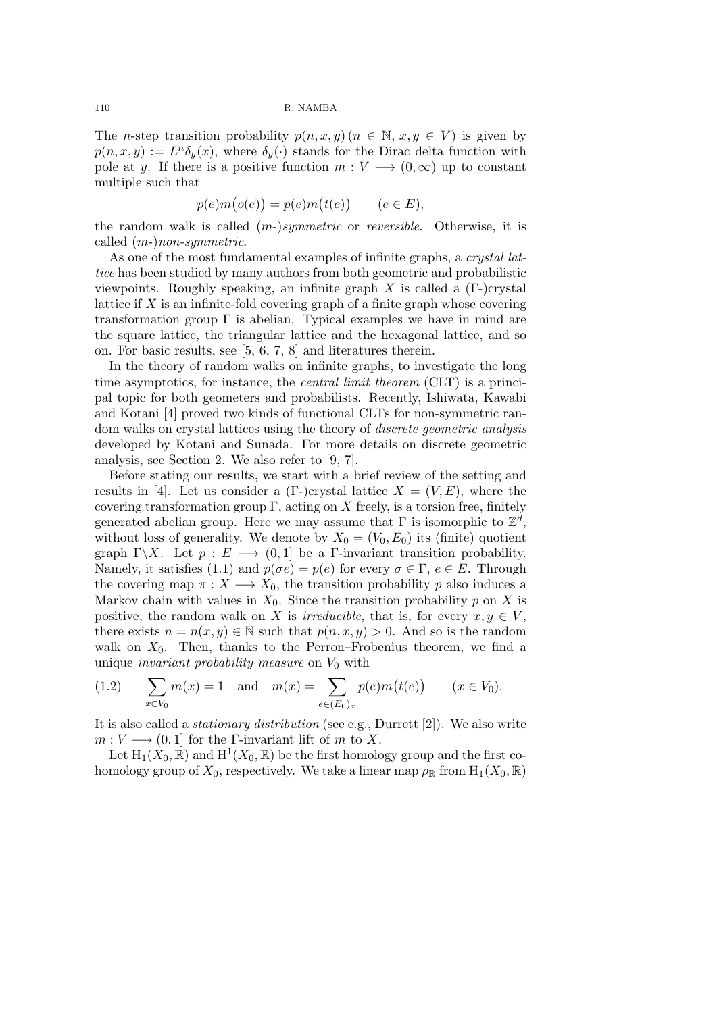The *n*-step transition probability  $p(n, x, y)$  ( $n \in \mathbb{N}, x, y \in V$ ) is given by  $p(n, x, y) := L^n \delta_y(x)$ , where  $\delta_y(\cdot)$  stands for the Dirac delta function with pole at *y*. If there is a positive function  $m: V \longrightarrow (0, \infty)$  up to constant multiple such that

$$
p(e)m(o(e)) = p(\overline{e})m(t(e)) \qquad (e \in E),
$$

the random walk is called (*m*-)*symmetric* or *reversible*. Otherwise, it is called (*m*-)*non-symmetric*.

As one of the most fundamental examples of infinite graphs, a *crystal lattice* has been studied by many authors from both geometric and probabilistic viewpoints. Roughly speaking, an infinite graph *X* is called a (Γ-)crystal lattice if *X* is an infinite-fold covering graph of a finite graph whose covering transformation group  $\Gamma$  is abelian. Typical examples we have in mind are the square lattice, the triangular lattice and the hexagonal lattice, and so on. For basic results, see [5, 6, 7, 8] and literatures therein.

In the theory of random walks on infinite graphs, to investigate the long time asymptotics, for instance, the *central limit theorem* (CLT) is a principal topic for both geometers and probabilists. Recently, Ishiwata, Kawabi and Kotani [4] proved two kinds of functional CLTs for non-symmetric random walks on crystal lattices using the theory of *discrete geometric analysis* developed by Kotani and Sunada. For more details on discrete geometric analysis, see Section 2. We also refer to [9, 7].

Before stating our results, we start with a brief review of the setting and results in [4]. Let us consider a  $(\Gamma$ -)crystal lattice  $X = (V, E)$ , where the covering transformation group  $\Gamma$ , acting on  $X$  freely, is a torsion free, finitely generated abelian group. Here we may assume that  $\Gamma$  is isomorphic to  $\mathbb{Z}^d$ , without loss of generality. We denote by  $X_0 = (V_0, E_0)$  its (finite) quotient graph  $\Gamma \backslash X$ . Let  $p : E \longrightarrow (0,1]$  be a  $\Gamma$ -invariant transition probability. Namely, it satisfies (1.1) and  $p(\sigma e) = p(e)$  for every  $\sigma \in \Gamma$ ,  $e \in E$ . Through the covering map  $\pi : X \longrightarrow X_0$ , the transition probability p also induces a Markov chain with values in  $X_0$ . Since the transition probability p on X is positive, the random walk on *X* is *irreducible*, that is, for every  $x, y \in V$ . there exists  $n = n(x, y) \in \mathbb{N}$  such that  $p(n, x, y) > 0$ . And so is the random walk on  $X_0$ . Then, thanks to the Perron–Frobenius theorem, we find a unique *invariant probability measure* on *V*<sup>0</sup> with

(1.2) 
$$
\sum_{x \in V_0} m(x) = 1 \text{ and } m(x) = \sum_{e \in (E_0)_x} p(\overline{e}) m(t(e)) \quad (x \in V_0).
$$

It is also called a *stationary distribution* (see e.g., Durrett [2]). We also write  $m: V \longrightarrow (0,1]$  for the Γ-invariant lift of *m* to *X*.

Let  $H_1(X_0, \mathbb{R})$  and  $H^1(X_0, \mathbb{R})$  be the first homology group and the first cohomology group of  $X_0$ , respectively. We take a linear map  $\rho_{\mathbb{R}}$  from  $H_1(X_0, \mathbb{R})$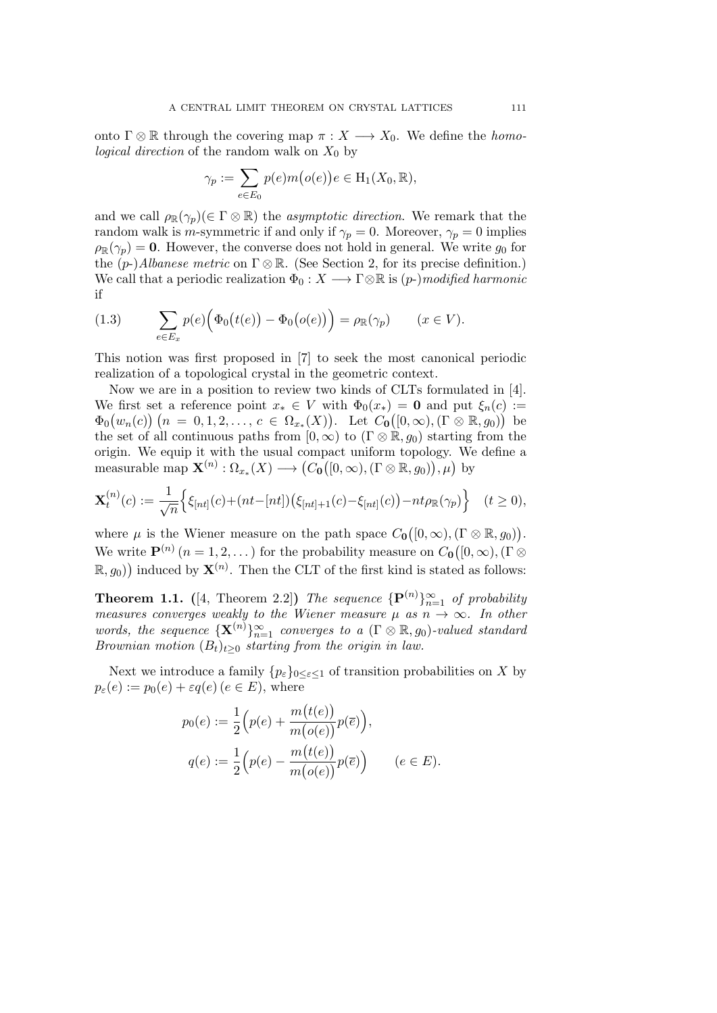onto  $\Gamma \otimes \mathbb{R}$  through the covering map  $\pi : X \longrightarrow X_0$ . We define the *homological direction* of the random walk on  $X_0$  by

$$
\gamma_p := \sum_{e \in E_0} p(e)m(o(e))e \in H_1(X_0, \mathbb{R}),
$$

and we call  $\rho_{\mathbb{R}}(\gamma_p) \in \Gamma \otimes \mathbb{R}$ ) the *asymptotic direction*. We remark that the random walk is *m*-symmetric if and only if  $\gamma_p = 0$ . Moreover,  $\gamma_p = 0$  implies  $\rho_{\mathbb{R}}(\gamma_p) = \mathbf{0}$ . However, the converse does not hold in general. We write  $g_0$  for the  $(p-)Albanese metric$  on  $\Gamma \otimes \mathbb{R}$ . (See Section 2, for its precise definition.) We call that a periodic realization  $\Phi_0: X \longrightarrow \Gamma \otimes \mathbb{R}$  is  $(p-)$ *modified harmonic* if

(1.3) 
$$
\sum_{e \in E_x} p(e) \Big( \Phi_0(t(e)) - \Phi_0(o(e)) \Big) = \rho_{\mathbb{R}}(\gamma_p) \qquad (x \in V).
$$

This notion was first proposed in [7] to seek the most canonical periodic realization of a topological crystal in the geometric context.

Now we are in a position to review two kinds of CLTs formulated in [4]. We first set a reference point  $x_* \in V$  with  $\Phi_0(x_*) = \mathbf{0}$  and put  $\xi_n(c) :=$  $\Phi_0(w_n(c))$   $(n = 0, 1, 2, \ldots, c \in \Omega_{x_*}(X))$ . Let  $C_0([0, \infty), (\Gamma \otimes \mathbb{R}, g_0))$  be the set of all continuous paths from  $[0, \infty)$  to  $(\Gamma \otimes \mathbb{R}, g_0)$  starting from the origin. We equip it with the usual compact uniform topology. We define a measurable map  $\mathbf{X}^{(n)} : \Omega_{x*}(X) \longrightarrow (C_0([0, \infty), (\Gamma \otimes \mathbb{R}, g_0)), \mu)$  by

$$
\mathbf{X}_{t}^{(n)}(c) := \frac{1}{\sqrt{n}} \Big\{ \xi_{[nt]}(c) + (nt - [nt]) \big( \xi_{[nt]+1}(c) - \xi_{[nt]}(c) \big) - nt \rho_{\mathbb{R}}(\gamma_{p}) \Big\} \quad (t \ge 0),
$$

where  $\mu$  is the Wiener measure on the path space  $C_0([0,\infty), (\Gamma \otimes \mathbb{R}, g_0)).$ We write  $\mathbf{P}^{(n)}$   $(n = 1, 2, ...)$  for the probability measure on  $C_0([0, \infty), (\Gamma \otimes$  $(R, g_0)$  induced by  $\mathbf{X}^{(n)}$ . Then the CLT of the first kind is stated as follows:

**Theorem 1.1.** ([4, Theorem 2.2]) *The sequence*  $\{\mathbf{P}^{(n)}\}_{n=1}^{\infty}$  *of probability measures converges weakly to the Wiener measure*  $\mu$  *as*  $n \rightarrow \infty$ *. In other words, the sequence*  ${ {\bf X}^{(n)} }_{n=1}^\infty$  *converges to a* ( $\Gamma \otimes \mathbb{R}$ *, g*<sub>0</sub>)*-valued standard Brownian motion*  $(B_t)_{t>0}$  *starting from the origin in law.* 

Next we introduce a family  ${p_{\varepsilon}}_{0 \leq \varepsilon \leq 1}$  of transition probabilities on *X* by  $p_{\varepsilon}(e) := p_0(e) + \varepsilon q(e)$  ( $e \in E$ ), where

$$
p_0(e) := \frac{1}{2} \Big( p(e) + \frac{m(t(e))}{m(o(e))} p(\overline{e}) \Big),
$$
  

$$
q(e) := \frac{1}{2} \Big( p(e) - \frac{m(t(e))}{m(o(e))} p(\overline{e}) \Big) \qquad (e \in E).
$$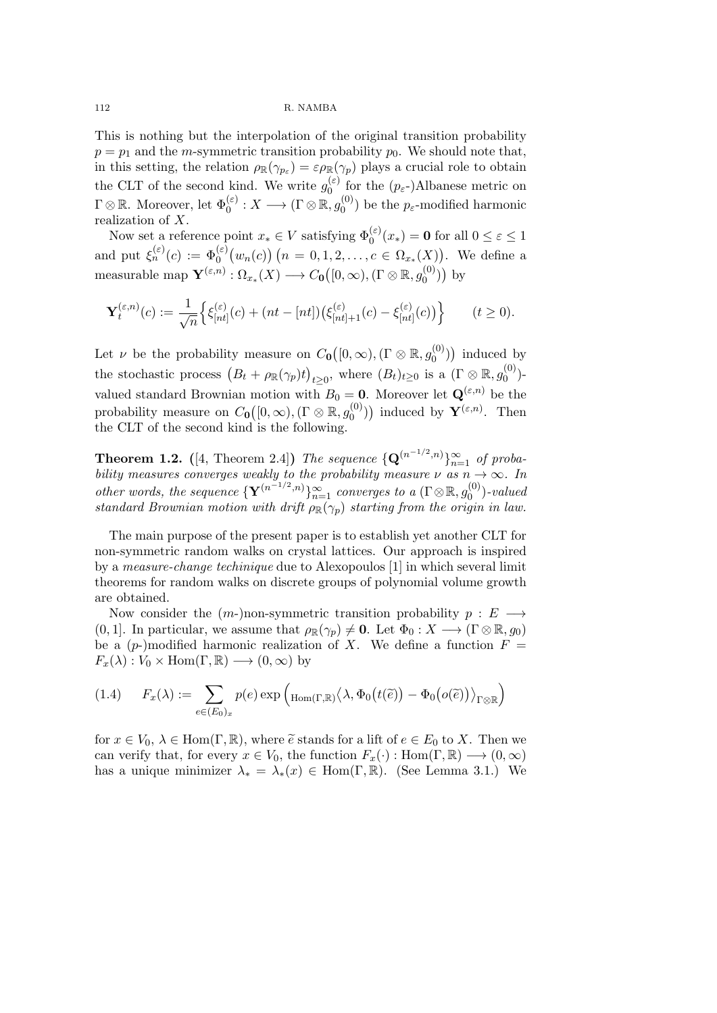This is nothing but the interpolation of the original transition probability  $p = p_1$  and the *m*-symmetric transition probability  $p_0$ . We should note that, in this setting, the relation  $\rho_{\mathbb{R}}(\gamma_{p_{\varepsilon}}) = \varepsilon \rho_{\mathbb{R}}(\gamma_p)$  plays a crucial role to obtain the CLT of the second kind. We write  $g_0^{(\varepsilon)}$  $\int_0^{(\varepsilon)}$  for the  $(p_\varepsilon)$ -)Albanese metric on  $\Gamma \otimes \mathbb{R}$ . Moreover, let  $\Phi_0^{(\varepsilon)}: X \longrightarrow (\Gamma \otimes \mathbb{R}, g_0^{(0)})$  $p_0^{(0)}$  be the  $p_{\varepsilon}$ -modified harmonic realization of *X*.

Now set a reference point  $x_* \in V$  satisfying  $\Phi_0^{(\varepsilon)}(x_*) = \mathbf{0}$  for all  $0 \le \varepsilon \le 1$ and put  $\xi_n^{(\varepsilon)}(c) := \Phi_0^{(\varepsilon)}(w_n(c))$   $(n = 0, 1, 2, \ldots, c \in \Omega_{x_*}(X))$ . We define a measurable map  $\mathbf{Y}^{(\varepsilon,n)} : \Omega_{x*}(X) \longrightarrow C_0([0,\infty), (\Gamma \otimes \mathbb{R}, g_0^{(0)})$  $\big( \begin{matrix} (0) \ 0 \end{matrix} \big)$  by

$$
\mathbf{Y}_{t}^{(\varepsilon,n)}(c) := \frac{1}{\sqrt{n}} \Big\{ \xi_{[nt]}^{(\varepsilon)}(c) + (nt - [nt]) \big( \xi_{[nt] + 1}^{(\varepsilon)}(c) - \xi_{[nt]}^{(\varepsilon)}(c) \big) \Big\} \qquad (t \ge 0).
$$

Let *ν* be the probability measure on  $C_0([0,\infty), (\Gamma \otimes \mathbb{R}, g_0^{(0)})$  $\binom{0}{0}$ ) induced by the stochastic process  $(B_t + \rho_R(\gamma_p)t)$  $t \geq 0$ , where  $(B_t)_{t \geq 0}$  is a  $(\Gamma \otimes \mathbb{R}, g_0^{(0)})$  $v_0^{(0)}$ )valued standard Brownian motion with  $B_0 = 0$ . Moreover let  $\mathbf{Q}^{(\varepsilon,n)}$  be the probability measure on  $C_0([0, \infty), (\Gamma \otimes \mathbb{R}, g_0^{(0)})$  $\mathbf{Y}^{(\mathcal{O})}_{0}$ ) induced by  $\mathbf{Y}^{(\varepsilon,n)}$ . Then the CLT of the second kind is the following.

**Theorem 1.2.** ([4, Theorem 2.4]) *The sequence*  $\{Q^{(n^{-1/2},n)}\}_{n=1}^{\infty}$  *of probability measures converges weakly to the probability measure*  $\nu$  *as*  $n \rightarrow \infty$ *. In other words, the sequence*  ${\bf {Y}}^{(n-1/2,n)}\}_{n=1}^{\infty}$  *converges to a*  $(\Gamma \otimes \mathbb{R}, g_0^{(0)})$ 0 )*-valued standard Brownian motion with drift*  $\rho_{\mathbb{R}}(\gamma_p)$  *starting from the origin in law.* 

The main purpose of the present paper is to establish yet another CLT for non-symmetric random walks on crystal lattices. Our approach is inspired by a *measure-change techinique* due to Alexopoulos [1] in which several limit theorems for random walks on discrete groups of polynomial volume growth are obtained.

Now consider the (*m*-)non-symmetric transition probability *p* : *E −→*  $(0, 1]$ . In particular, we assume that  $\rho_{\mathbb{R}}(\gamma_p) \neq \mathbf{0}$ . Let  $\Phi_0 : X \longrightarrow (\Gamma \otimes \mathbb{R}, g_0)$ be a  $(p-)$ modified harmonic realization of X. We define a function  $F =$  $F_x(\lambda): V_0 \times \text{Hom}(\Gamma, \mathbb{R}) \longrightarrow (0, \infty)$  by

$$
(1.4) \qquad F_x(\lambda) := \sum_{e \in (E_0)_x} p(e) \exp \left( \text{Hom}(\Gamma, \mathbb{R}) \langle \lambda, \Phi_0(t(\tilde{e})) - \Phi_0(o(\tilde{e})) \rangle_{\Gamma \otimes \mathbb{R}} \right)
$$

for  $x \in V_0$ ,  $\lambda \in \text{Hom}(\Gamma, \mathbb{R})$ , where  $\tilde{e}$  stands for a lift of  $e \in E_0$  to X. Then we can verify that, for every  $x \in V_0$ , the function  $F_x(\cdot) : \text{Hom}(\Gamma, \mathbb{R}) \longrightarrow (0, \infty)$ has a unique minimizer  $\lambda_* = \lambda_*(x) \in \text{Hom}(\Gamma, \mathbb{R})$ . (See Lemma 3.1.) We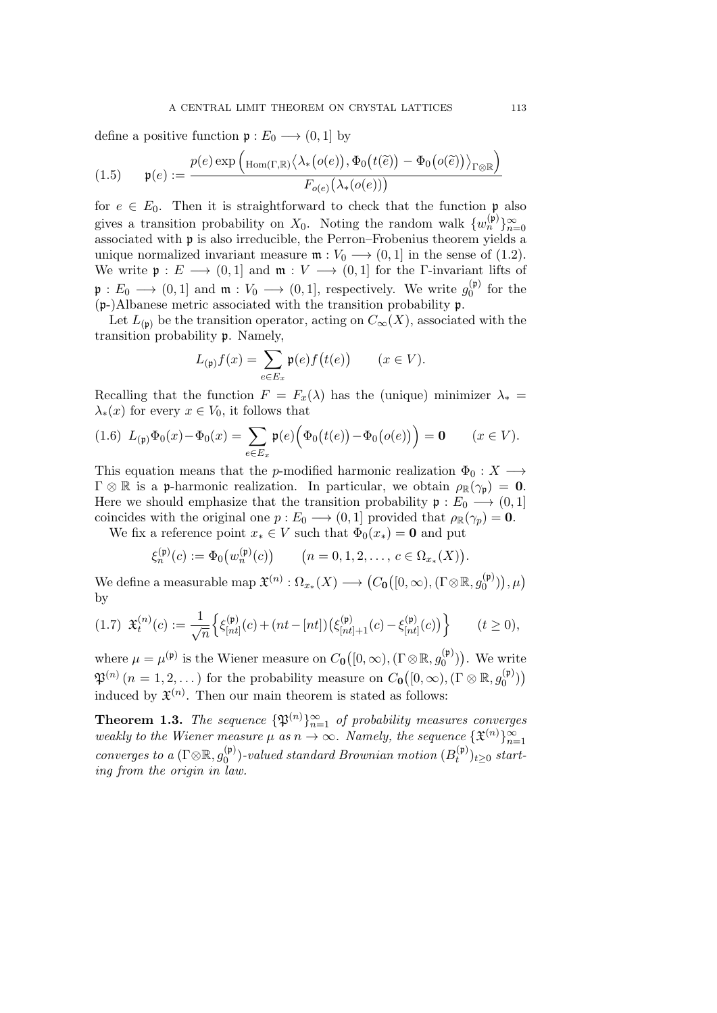define a positive function  $\mathfrak{p}: E_0 \longrightarrow (0,1]$  by

$$
(1.5) \qquad \mathfrak{p}(e) := \frac{p(e) \exp \left( \text{Hom}(\Gamma, \mathbb{R}) \left\langle \lambda_*\big(o(e)\big), \Phi_0\big(t(\widetilde{e})\big) - \Phi_0\big(o(\widetilde{e})\big) \right\rangle_{\Gamma \otimes \mathbb{R}} \right)}{F_{o(e)}\big(\lambda_*(o(e))\big)}
$$

for  $e \in E_0$ . Then it is straightforward to check that the function p also gives a transition probability on  $X_0$ . Noting the random walk  $\{w_n^{(\mathfrak{p})}\}_{n=0}^{\infty}$ associated with p is also irreducible, the Perron–Frobenius theorem yields a unique normalized invariant measure  $\mathfrak{m}: V_0 \longrightarrow (0,1]$  in the sense of (1.2). We write  $\mathfrak{p}: E \longrightarrow (0,1]$  and  $\mathfrak{m}: V \longrightarrow (0,1]$  for the *Γ*-invariant lifts of  $\mathfrak{p}: E_0 \longrightarrow (0,1]$  and  $\mathfrak{m}: V_0 \longrightarrow (0,1]$ , respectively. We write  $g_0^{(\mathfrak{p})}$  $\int_0^{(\mathfrak{p})}$  for the (p-)Albanese metric associated with the transition probability p.

Let  $L_{(p)}$  be the transition operator, acting on  $C_{\infty}(X)$ , associated with the transition probability p. Namely,

$$
L_{(\mathfrak{p})}f(x) = \sum_{e \in E_x} \mathfrak{p}(e) f(t(e)) \qquad (x \in V).
$$

Recalling that the function  $F = F_x(\lambda)$  has the (unique) minimizer  $\lambda_* =$  $\lambda$ <sup>\*</sup>(*x*) for every *x*  $\in$  *V*<sup>0</sup>, it follows that

$$
(1.6) \ L_{(p)}\Phi_0(x) - \Phi_0(x) = \sum_{e \in E_x} \mathfrak{p}(e) \Big( \Phi_0(t(e)) - \Phi_0(o(e)) \Big) = 0 \qquad (x \in V).
$$

This equation means that the *p*-modified harmonic realization  $\Phi_0: X \longrightarrow$  $\Gamma \otimes \mathbb{R}$  is a p-harmonic realization. In particular, we obtain  $\rho_{\mathbb{R}}(\gamma_{\mathfrak{p}}) = \mathbf{0}$ . Here we should emphasize that the transition probability  $\mathfrak{p}: E_0 \longrightarrow (0,1]$ coincides with the original one  $p: E_0 \longrightarrow (0, 1]$  provided that  $\rho_{\mathbb{R}}(\gamma_p) = \mathbf{0}$ .

We fix a reference point  $x_* \in V$  such that  $\Phi_0(x_*) = \mathbf{0}$  and put

$$
\xi_n^{(\mathfrak{p})}(c) := \Phi_0(w_n^{(\mathfrak{p})}(c)) \qquad (n = 0, 1, 2, \dots, c \in \Omega_{x_*}(X)).
$$

 $\mathcal{H}^{\left(n\right)}:\Omega_{x*}(X)\longrightarrow\left(C_{\mathbf{0}}\big([0,\infty),(\Gamma\otimes\mathbb{R},g_{0}^{(\mathfrak{p})}\big)\right)$  $\binom{\mathfrak{p}}{0}$ ),  $\mu$ ) by

$$
(1.7) \ \ \mathfrak{X}^{(n)}_t(c) := \frac{1}{\sqrt{n}} \Big\{ \xi^{(\mathfrak{p})}_{[nt]}(c) + (nt - [nt]) \big( \xi^{(\mathfrak{p})}_{[nt]+1}(c) - \xi^{(\mathfrak{p})}_{[nt]}(c) \big) \Big\} \qquad (t \ge 0),
$$

where  $\mu = \mu^{(\mathfrak{p})}$  is the Wiener measure on  $C_0([0,\infty), (\Gamma \otimes \mathbb{R}, g_0^{(\mathfrak{p})})$  $\binom{(\mathfrak{p})}{0}$ . We write  $\mathfrak{P}^{(n)}$   $(n = 1, 2, ...)$  for the probability measure on  $C_0([0, \infty), (\Gamma \otimes \mathbb{R}, g_0^{(p)})$  $\binom{(\mathfrak{p})}{0}$ induced by  $\mathfrak{X}^{(n)}$ . Then our main theorem is stated as follows:

**Theorem 1.3.** *The sequence*  $\{\mathfrak{P}^{(n)}\}_{n=1}^{\infty}$  *of probability measures converges weakly to the Wiener measure*  $\mu$  *as*  $n \to \infty$ *. Namely, the sequence*  $\{\mathfrak{X}^{(n)}\}_{n=1}^{\infty}$ *converges to a* ( $\Gamma \otimes \mathbb{R}$ ,  $g_0^{(\mathfrak{p})}$  $\binom{\left( \mathfrak{p}\right) }{0}$ -valued standard Brownian motion  $(B_{t}^{\left( \mathfrak{p}\right) })$  $(t<sup>µ</sup>)<sub>t</sub> ≥ 0$  *starting from the origin in law.*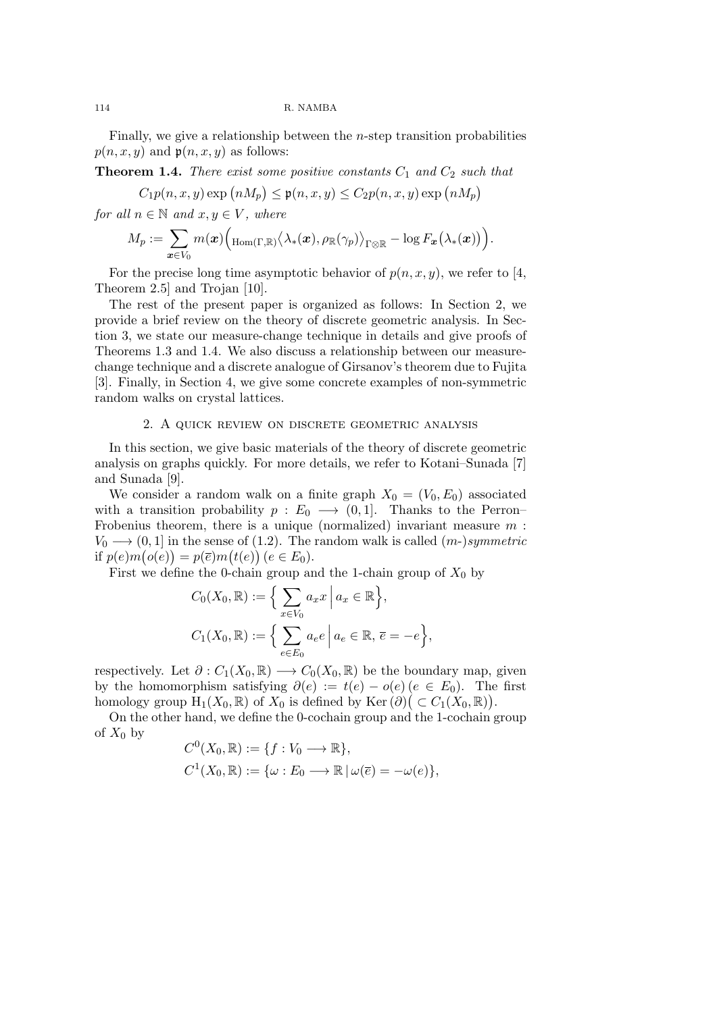Finally, we give a relationship between the *n*-step transition probabilities  $p(n, x, y)$  and  $p(n, x, y)$  as follows:

**Theorem 1.4.** *There exist some positive constants C*<sup>1</sup> *and C*<sup>2</sup> *such that*

$$
C_1 p(n, x, y) \exp(nM_p) \le \mathfrak{p}(n, x, y) \le C_2 p(n, x, y) \exp(nM_p)
$$

*for all*  $n \in \mathbb{N}$  *and*  $x, y \in V$ *, where* 

$$
M_p:=\sum_{\bm{x}\in V_0} m(\bm{x}) \Big(\hbox{Hom}_{(\Gamma,\mathbb{R})}\big\langle \lambda_{\ast}(\bm{x}),\rho_{\mathbb{R}}(\gamma_p)\big\rangle_{\Gamma\otimes\mathbb{R}}-\log F_{\bm{x}}\big(\lambda_{\ast}(\bm{x})\big)\Big).
$$

For the precise long time asymptotic behavior of  $p(n, x, y)$ , we refer to [4, Theorem 2.5] and Trojan [10].

The rest of the present paper is organized as follows: In Section 2, we provide a brief review on the theory of discrete geometric analysis. In Section 3, we state our measure-change technique in details and give proofs of Theorems 1.3 and 1.4. We also discuss a relationship between our measurechange technique and a discrete analogue of Girsanov's theorem due to Fujita [3]. Finally, in Section 4, we give some concrete examples of non-symmetric random walks on crystal lattices.

#### 2. A quick review on discrete geometric analysis

In this section, we give basic materials of the theory of discrete geometric analysis on graphs quickly. For more details, we refer to Kotani–Sunada [7] and Sunada [9].

We consider a random walk on a finite graph  $X_0 = (V_0, E_0)$  associated with a transition probability  $p : E_0 \longrightarrow (0,1]$ . Thanks to the Perron– Frobenius theorem, there is a unique (normalized) invariant measure *m* :  $V_0 \longrightarrow (0, 1]$  in the sense of (1.2). The random walk is called  $(m-)symmetric$  $p(e)m(o(e)) = p(\overline{e})m(t(e))$   $(e \in E_0).$ 

First we define the 0-chain group and the 1-chain group of  $X_0$  by

$$
C_0(X_0, \mathbb{R}) := \Big\{ \sum_{x \in V_0} a_x x \, \Big| \, a_x \in \mathbb{R} \Big\},
$$
  

$$
C_1(X_0, \mathbb{R}) := \Big\{ \sum_{e \in E_0} a_e e \, \Big| \, a_e \in \mathbb{R}, \, \overline{e} = -e \Big\},
$$

respectively. Let  $\partial: C_1(X_0, \mathbb{R}) \longrightarrow C_0(X_0, \mathbb{R})$  be the boundary map, given by the homomorphism satisfying  $\partial(e) := t(e) - o(e) (e \in E_0)$ . The first homology group  $H_1(X_0, \mathbb{R})$  of  $X_0$  is defined by Ker  $(\partial)(\subset C_1(X_0, \mathbb{R}))$ .

On the other hand, we define the 0-cochain group and the 1-cochain group of  $X_0$  by

$$
C^{0}(X_{0}, \mathbb{R}) := \{f : V_{0} \longrightarrow \mathbb{R}\},
$$
  

$$
C^{1}(X_{0}, \mathbb{R}) := \{\omega : E_{0} \longrightarrow \mathbb{R} \mid \omega(\overline{e}) = -\omega(e)\},
$$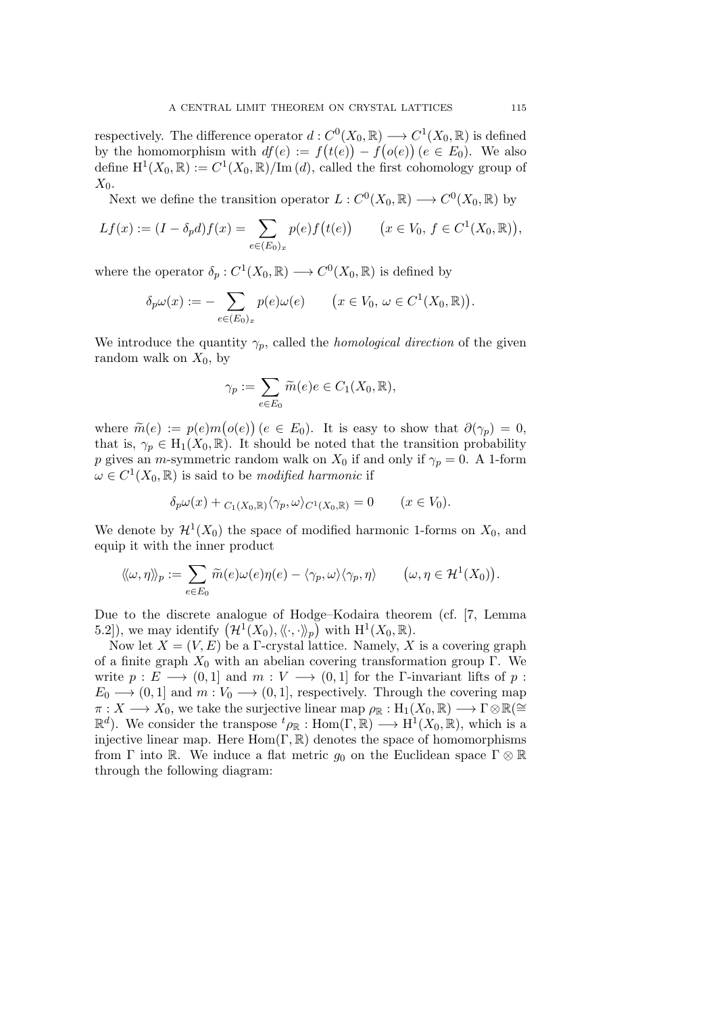respectively. The difference operator  $d: C^0(X_0, \mathbb{R}) \longrightarrow C^1(X_0, \mathbb{R})$  is defined by the homomorphism with  $df(e) := f(t(e)) - f(o(e))$  ( $e \in E_0$ ). We also define  $H^1(X_0, \mathbb{R}) := C^1(X_0, \mathbb{R}) / \text{Im} (d)$ , called the first cohomology group of *X*0.

Next we define the transition operator  $L: C^0(X_0, \mathbb{R}) \longrightarrow C^0(X_0, \mathbb{R})$  by

$$
Lf(x) := (I - \delta_p d) f(x) = \sum_{e \in (E_0)_x} p(e) f(t(e)) \qquad (x \in V_0, \ f \in C^1(X_0, \mathbb{R})),
$$

where the operator  $\delta_p: C^1(X_0, \mathbb{R}) \longrightarrow C^0(X_0, \mathbb{R})$  is defined by

$$
\delta_p \omega(x) := -\sum_{e \in (E_0)_x} p(e) \omega(e) \qquad (x \in V_0, \, \omega \in C^1(X_0, \mathbb{R})).
$$

We introduce the quantity  $\gamma_p$ , called the *homological direction* of the given random walk on  $X_0$ , by

$$
\gamma_p := \sum_{e \in E_0} \widetilde{m}(e)e \in C_1(X_0, \mathbb{R}),
$$

where  $\widetilde{m}(e) := p(e)m(o(e))$  ( $e \in E_0$ ). It is easy to show that  $\partial(\gamma_p) = 0$ , that is,  $\gamma_p \in H_1(X_0, \mathbb{R})$ . It should be noted that the transition probability *p* gives an *m*-symmetric random walk on  $X_0$  if and only if  $\gamma_p = 0$ . A 1-form  $\omega \in C^1(X_0, \mathbb{R})$  is said to be *modified harmonic* if

$$
\delta_p \omega(x) + C_1(X_0, \mathbb{R}) \langle \gamma_p, \omega \rangle_{C^1(X_0, \mathbb{R})} = 0 \qquad (x \in V_0).
$$

We denote by  $\mathcal{H}^1(X_0)$  the space of modified harmonic 1-forms on  $X_0$ , and equip it with the inner product

$$
\langle \langle \omega, \eta \rangle \rangle_p := \sum_{e \in E_0} \widetilde{m}(e) \omega(e) \eta(e) - \langle \gamma_p, \omega \rangle \langle \gamma_p, \eta \rangle \qquad \big( \omega, \eta \in \mathcal{H}^1(X_0) \big).
$$

Due to the discrete analogue of Hodge–Kodaira theorem (cf. [7, Lemma 5.2]), we may identify  $(\mathcal{H}^1(X_0), \langle\!\langle \cdot, \cdot \rangle\!\rangle_p)$  with  $H^1(X_0, \mathbb{R})$ .

Now let  $X = (V, E)$  be a  $\Gamma$ -crystal lattice. Namely, X is a covering graph of a finite graph  $X_0$  with an abelian covering transformation group Γ. We write  $p: E \longrightarrow (0,1]$  and  $m: V \longrightarrow (0,1]$  for the Γ-invariant lifts of  $p:$  $E_0 \longrightarrow (0,1]$  and  $m: V_0 \longrightarrow (0,1]$ , respectively. Through the covering map  $\pi: X \longrightarrow X_0$ , we take the surjective linear map  $\rho_{\mathbb{R}}: H_1(X_0, \mathbb{R}) \longrightarrow \Gamma \otimes \mathbb{R} \cong$  $\mathbb{R}^d$ ). We consider the transpose  ${}^t\rho_{\mathbb{R}}$  : Hom( $\Gamma, \mathbb{R}$ )  $\longrightarrow$  H<sup>1</sup>( $X_0, \mathbb{R}$ ), which is a injective linear map. Here Hom(Γ*,* R) denotes the space of homomorphisms from  $\Gamma$  into  $\mathbb R$ . We induce a flat metric  $g_0$  on the Euclidean space  $\Gamma \otimes \mathbb R$ through the following diagram: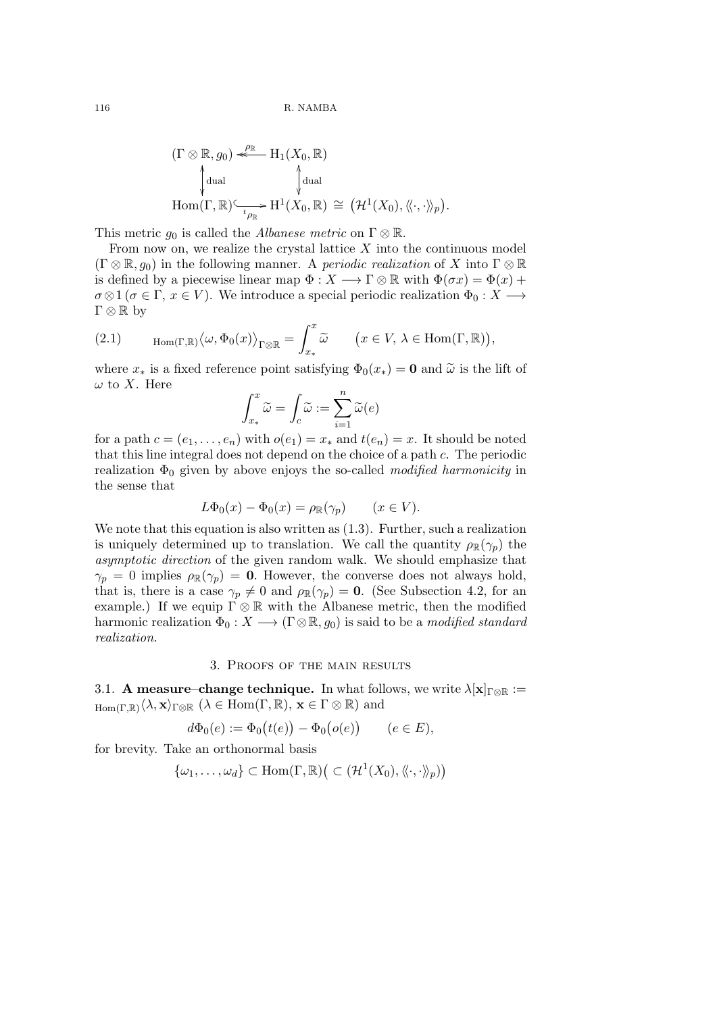$$
(\Gamma \otimes \mathbb{R}, g_0) \stackrel{\rho_{\mathbb{R}}}{\underset{\psi}{\longrightarrow}} H_1(X_0, \mathbb{R})
$$
  
\n
$$
\downarrow^{\text{dual}} \qquad \qquad \downarrow^{\text{dual}} \qquad \downarrow^{\text{dual}}
$$
  
\n
$$
\text{Hom}(\Gamma, \mathbb{R}) \stackrel{\sim}{\longrightarrow} H^1(X_0, \mathbb{R}) \cong (\mathcal{H}^1(X_0), \langle\langle \cdot, \cdot \rangle\rangle_p).
$$

This metric *g*<sup>0</sup> is called the *Albanese metric* on Γ *⊗* R.

From now on, we realize the crystal lattice *X* into the continuous model  $(\Gamma \otimes \mathbb{R}, g_0)$  in the following manner. A *periodic realization* of X into  $\Gamma \otimes \mathbb{R}$ is defined by a piecewise linear map  $\Phi: X \longrightarrow \Gamma \otimes \mathbb{R}$  with  $\Phi(\sigma x) = \Phi(x) +$  $\sigma \otimes 1$  ( $\sigma \in \Gamma$ ,  $x \in V$ ). We introduce a special periodic realization  $\Phi_0 : X \longrightarrow$ Γ *⊗* R by

(2.1) 
$$
\operatorname{Hom}(\Gamma,\mathbb{R})\langle\omega,\Phi_0(x)\rangle_{\Gamma\otimes\mathbb{R}}=\int_{x_*}^x\widetilde{\omega}\qquad \big(x\in V,\,\lambda\in\operatorname{Hom}(\Gamma,\mathbb{R})\big),
$$

where  $x_*$  is a fixed reference point satisfying  $\Phi_0(x_*) = \mathbf{0}$  and  $\tilde{\omega}$  is the lift of *ω* to *X*. Here

$$
\int_{x_*}^x \widetilde{\omega} = \int_c \widetilde{\omega} := \sum_{i=1}^n \widetilde{\omega}(e)
$$

for a path  $c = (e_1, \ldots, e_n)$  with  $o(e_1) = x_*$  and  $t(e_n) = x$ . It should be noted that this line integral does not depend on the choice of a path *c*. The periodic realization  $\Phi_0$  given by above enjoys the so-called *modified harmonicity* in the sense that

$$
L\Phi_0(x) - \Phi_0(x) = \rho_{\mathbb{R}}(\gamma_p) \qquad (x \in V).
$$

We note that this equation is also written as  $(1.3)$ . Further, such a realization is uniquely determined up to translation. We call the quantity  $\rho_{\mathbb{R}}(\gamma_p)$  the *asymptotic direction* of the given random walk. We should emphasize that  $\gamma_p = 0$  implies  $\rho_{\mathbb{R}}(\gamma_p) = 0$ . However, the converse does not always hold, that is, there is a case  $\gamma_p \neq 0$  and  $\rho_{\mathbb{R}}(\gamma_p) = \mathbf{0}$ . (See Subsection 4.2, for an example.) If we equip  $\Gamma \otimes \mathbb{R}$  with the Albanese metric, then the modified harmonic realization  $\Phi_0: X \longrightarrow (\Gamma \otimes \mathbb{R}, g_0)$  is said to be a *modified standard realization*.

# 3. Proofs of the main results

3.1. **A measure–change technique.** In what follows, we write  $\lambda[\mathbf{x}]_{\Gamma\otimes\mathbb{R}}$  :=  $\text{Hom}(\Gamma, \mathbb{R}) \langle \lambda, \mathbf{x} \rangle_{\Gamma \otimes \mathbb{R}} \ (\lambda \in \text{Hom}(\Gamma, \mathbb{R}), \ \mathbf{x} \in \Gamma \otimes \mathbb{R}) \text{ and }$ 

$$
d\Phi_0(e) := \Phi_0(t(e)) - \Phi_0(o(e)) \qquad (e \in E),
$$

for brevity. Take an orthonormal basis

$$
\{\omega_1,\ldots,\omega_d\}\subset \mathrm{Hom}(\Gamma,\mathbb{R})\big(\subset (\mathcal{H}^1(X_0),\langle\!\langle\cdot,\cdot\rangle\!\rangle_p)\big)
$$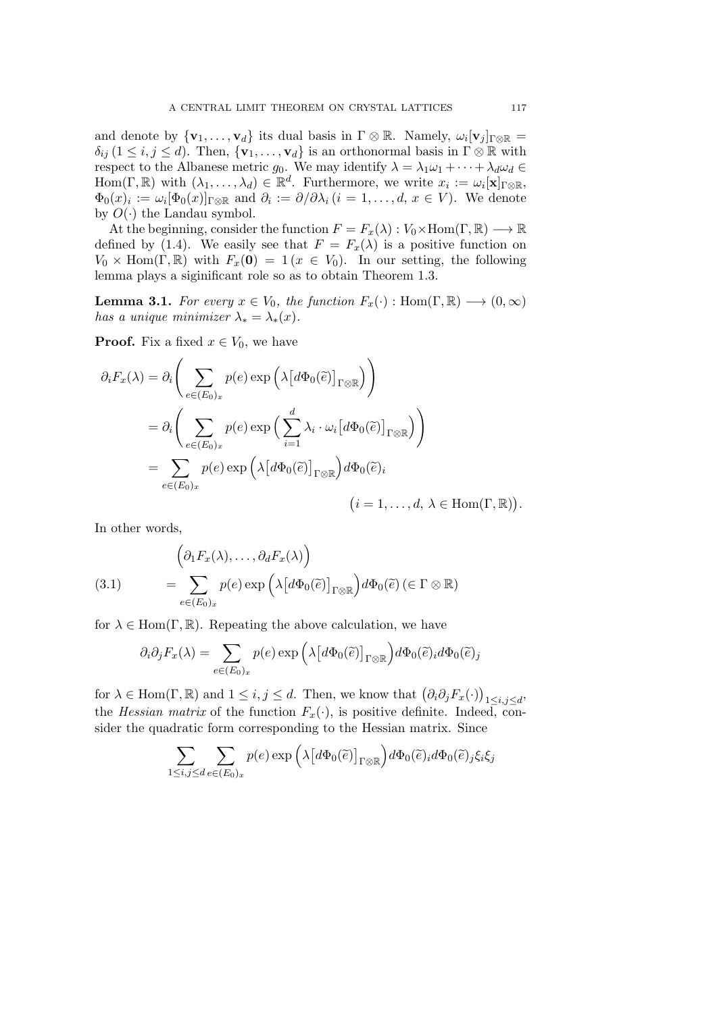and denote by  ${\bf v}_1, \ldots, {\bf v}_d$  its dual basis in  $\Gamma \otimes \mathbb{R}$ . Namely,  $\omega_i [{\bf v}_j]_{\Gamma \otimes \mathbb{R}} =$  $\delta_{ij}$  (1  $\leq i, j \leq d$ ). Then,  $\{v_1, \ldots, v_d\}$  is an orthonormal basis in  $\Gamma \otimes \mathbb{R}$  with respect to the Albanese metric  $g_0$ . We may identify  $\lambda = \lambda_1 \omega_1 + \cdots + \lambda_d \omega_d$  $\text{Hom}(\Gamma, \mathbb{R})$  with  $(\lambda_1, \ldots, \lambda_d) \in \mathbb{R}^d$ . Furthermore, we write  $x_i := \omega_i[\mathbf{x}]_{\Gamma \otimes \mathbb{R}}$ ,  $\Phi_0(x)_i := \omega_i[\Phi_0(x)]_{\Gamma \otimes \mathbb{R}}$  and  $\partial_i := \partial/\partial \lambda_i$   $(i = 1, \ldots, d, x \in V)$ . We denote by  $O(\cdot)$  the Landau symbol.

At the beginning, consider the function  $F = F_x(\lambda) : V_0 \times \text{Hom}(\Gamma, \mathbb{R}) \longrightarrow \mathbb{R}$ defined by (1.4). We easily see that  $F = F_x(\lambda)$  is a positive function on  $V_0 \times \text{Hom}(\Gamma, \mathbb{R})$  with  $F_x(\mathbf{0}) = 1$  ( $x \in V_0$ ). In our setting, the following lemma plays a siginificant role so as to obtain Theorem 1.3.

**Lemma 3.1.** *For every*  $x \in V_0$ *, the function*  $F_x(\cdot) : \text{Hom}(\Gamma, \mathbb{R}) \longrightarrow (0, \infty)$ *has a unique minimizer*  $\lambda_* = \lambda_*(x)$ .

**Proof.** Fix a fixed  $x \in V_0$ , we have

$$
\partial_i F_x(\lambda) = \partial_i \Bigg( \sum_{e \in (E_0)_x} p(e) \exp \Big( \lambda \big[ d\Phi_0(\tilde{e}) \big]_{\Gamma \otimes \mathbb{R}} \Big) \Bigg)
$$
  
= 
$$
\partial_i \Bigg( \sum_{e \in (E_0)_x} p(e) \exp \Big( \sum_{i=1}^d \lambda_i \cdot \omega_i \big[ d\Phi_0(\tilde{e}) \big]_{\Gamma \otimes \mathbb{R}} \Big) \Bigg)
$$
  
= 
$$
\sum_{e \in (E_0)_x} p(e) \exp \Big( \lambda \big[ d\Phi_0(\tilde{e}) \big]_{\Gamma \otimes \mathbb{R}} \Big) d\Phi_0(\tilde{e})_i
$$
  
( $i = 1, ..., d, \lambda \in \text{Hom}(\Gamma, \mathbb{R}).$ 

In other words,

(3.1) 
$$
\begin{aligned}\n\left(\partial_1 F_x(\lambda), \dots, \partial_d F_x(\lambda)\right) \\
&= \sum_{e \in (E_0)_x} p(e) \exp\left(\lambda \left[d\Phi_0(\tilde{e})\right]_{\Gamma \otimes \mathbb{R}}\right) d\Phi_0(\tilde{e}) \left(\in \Gamma \otimes \mathbb{R}\right)\n\end{aligned}
$$

for  $\lambda \in \text{Hom}(\Gamma, \mathbb{R})$ . Repeating the above calculation, we have

$$
\partial_i \partial_j F_x(\lambda) = \sum_{e \in (E_0)_x} p(e) \exp \left( \lambda \left[ d \Phi_0(\tilde{e}) \right]_{\Gamma \otimes \mathbb{R}} \right) d \Phi_0(\tilde{e})_i d \Phi_0(\tilde{e})_j
$$

for  $\lambda \in \text{Hom}(\Gamma, \mathbb{R})$  and  $1 \leq i, j \leq d$ . Then, we know that  $(\partial_i \partial_j F_x(\cdot))$ 1*≤i,j≤d* , the *Hessian matrix* of the function  $F_x(\cdot)$ , is positive definite. Indeed, consider the quadratic form corresponding to the Hessian matrix. Since

$$
\sum_{1 \leq i,j \leq d} \sum_{e \in (E_0)_x} p(e) \exp \left( \lambda \left[ d\Phi_0(\widetilde{e}) \right]_{\Gamma \otimes \mathbb{R}} \right) d\Phi_0(\widetilde{e})_i d\Phi_0(\widetilde{e})_j \xi_i \xi_j
$$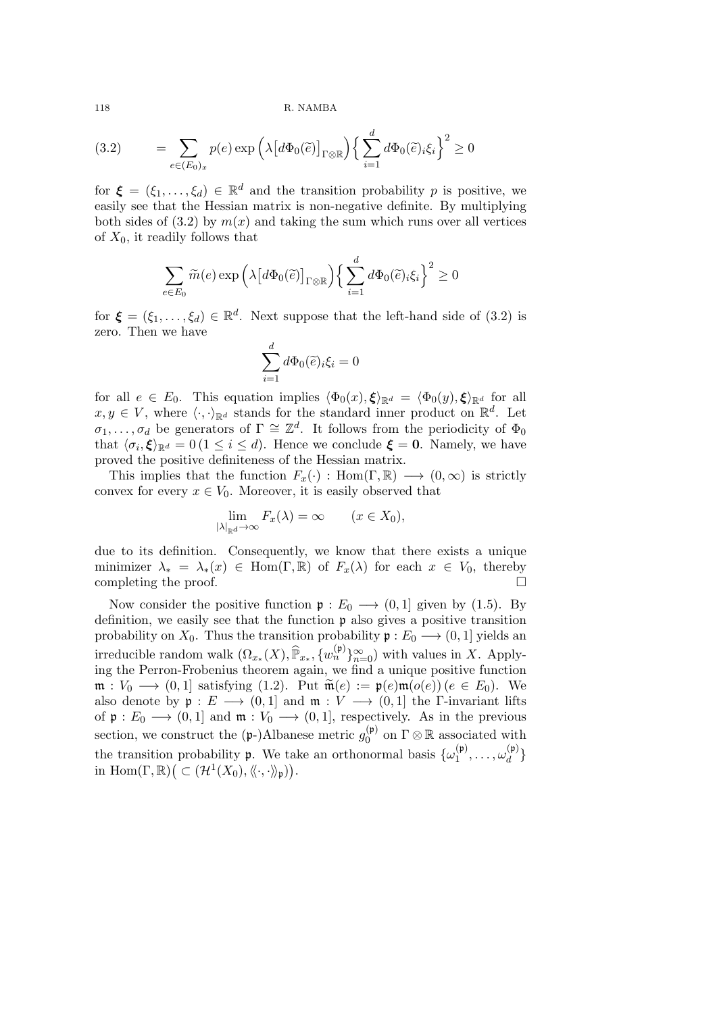(3.2) 
$$
= \sum_{e \in (E_0)_x} p(e) \exp \left( \lambda \left[ d \Phi_0(\tilde{e}) \right]_{\Gamma \otimes \mathbb{R}} \right) \left\{ \sum_{i=1}^d d \Phi_0(\tilde{e})_i \xi_i \right\}^2 \ge 0
$$

for  $\boldsymbol{\xi} = (\xi_1, \dots, \xi_d) \in \mathbb{R}^d$  and the transition probability *p* is positive, we easily see that the Hessian matrix is non-negative definite. By multiplying both sides of  $(3.2)$  by  $m(x)$  and taking the sum which runs over all vertices of *X*0, it readily follows that

$$
\sum_{e \in E_0} \widetilde{m}(e) \exp \left( \lambda \big[ d\Phi_0(\widetilde{e}) \big]_{\Gamma \otimes \mathbb{R}} \right) \left\{ \sum_{i=1}^d d\Phi_0(\widetilde{e})_i \xi_i \right\}^2 \ge 0
$$

for  $\boldsymbol{\xi} = (\xi_1, \dots, \xi_d) \in \mathbb{R}^d$ . Next suppose that the left-hand side of (3.2) is zero. Then we have

$$
\sum_{i=1}^d d\Phi_0(\widetilde{e})_i \xi_i = 0
$$

for all  $e \in E_0$ . This equation implies  $\langle \Phi_0(x), \xi \rangle_{\mathbb{R}^d} = \langle \Phi_0(y), \xi \rangle_{\mathbb{R}^d}$  for all  $x, y \in V$ , where  $\langle \cdot, \cdot \rangle_{\mathbb{R}^d}$  stands for the standard inner product on  $\mathbb{R}^d$ . Let  $\sigma_1, \ldots, \sigma_d$  be generators of  $\Gamma \cong \mathbb{Z}^d$ . It follows from the periodicity of  $\Phi_0$ that  $\langle \sigma_i, \xi \rangle_{\mathbb{R}^d} = 0 \ (1 \leq i \leq d)$ . Hence we conclude  $\xi = 0$ . Namely, we have proved the positive definiteness of the Hessian matrix.

This implies that the function  $F_x(\cdot)$ : Hom( $\Gamma, \mathbb{R}$ )  $\longrightarrow$   $(0, \infty)$  is strictly convex for every  $x \in V_0$ . Moreover, it is easily observed that

$$
\lim_{|\lambda|_{\mathbb{R}^d}\to\infty} F_x(\lambda) = \infty \qquad (x \in X_0),
$$

due to its definition. Consequently, we know that there exists a unique minimizer  $\lambda_* = \lambda_*(x) \in \text{Hom}(\Gamma, \mathbb{R})$  of  $F_x(\lambda)$  for each  $x \in V_0$ , thereby completing the proof. completing the proof.

Now consider the positive function  $\mathfrak{p}: E_0 \longrightarrow (0,1]$  given by (1.5). By definition, we easily see that the function p also gives a positive transition probability on  $X_0$ . Thus the transition probability  $\mathfrak{p}: E_0 \longrightarrow (0,1]$  yields an irreducible random walk  $(\Omega_{x_*}(X), \hat{\mathbb{P}}_{x_*}, \{w_n^{(p)}\}_{n=0}^{\infty})$  with values in *X*. Applying the Perron-Frobenius theorem again, we find a unique positive function  $\mathfrak{m}: V_0 \longrightarrow (0,1]$  satisfying (1.2). Put  $\widetilde{\mathfrak{m}}(e) := \mathfrak{p}(e)\mathfrak{m}(o(e))$  ( $e \in E_0$ ). We also denote by  $\mathfrak{p}: E \longrightarrow (0,1]$  and  $\mathfrak{m}: V \longrightarrow (0,1]$  the Γ-invariant lifts of  $\mathfrak{p}: E_0 \longrightarrow (0,1]$  and  $\mathfrak{m}: V_0 \longrightarrow (0,1]$ , respectively. As in the previous section, we construct the  $(p-)$ Albanese metric  $g_0^{(p)}$  $_{0}^{(\mathfrak{p})}$  on  $\Gamma \otimes \mathbb{R}$  associated with the transition probability **p**. We take an orthonormal basis  $\{\omega_1^{(p)}\}$  $\mathcal{L}_1^{(\frak{p})}, \ldots, \omega_d^{(\frak{p})}$ *d }* in  $\text{Hom}(\Gamma, \mathbb{R}) \big( \subset (\mathcal{H}^1(X_0), \langle\!\langle \cdot, \cdot \rangle\!\rangle_{\mathfrak{p}}) \big).$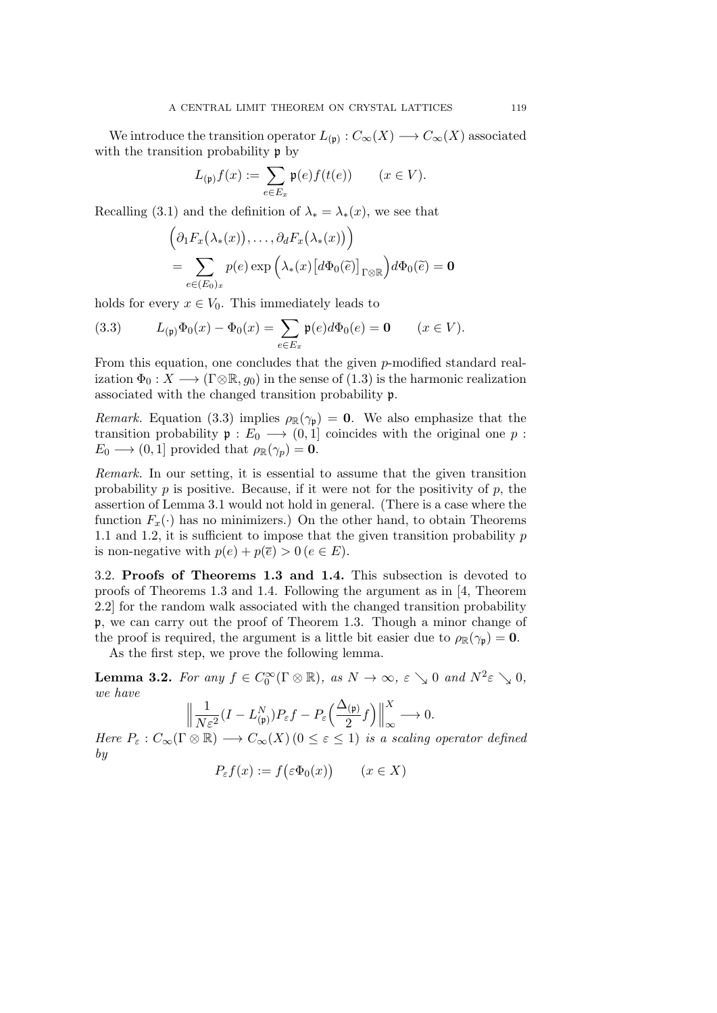We introduce the transition operator  $L_{(\mathfrak{p})}: C_{\infty}(X) \longrightarrow C_{\infty}(X)$  associated with the transition probability  $\mathfrak p$  by

$$
L_{(\mathfrak{p})}f(x) := \sum_{e \in E_x} \mathfrak{p}(e) f(t(e)) \qquad (x \in V).
$$

Recalling (3.1) and the definition of  $\lambda_* = \lambda_*(x)$ , we see that

$$
\left(\partial_1 F_x(\lambda_*(x)), \dots, \partial_d F_x(\lambda_*(x))\right)
$$
  
= 
$$
\sum_{e \in (E_0)_x} p(e) \exp \left(\lambda_*(x) \left[d\Phi_0(\tilde{e})\right]_{\Gamma \otimes \mathbb{R}}\right) d\Phi_0(\tilde{e}) = \mathbf{0}
$$

holds for every  $x \in V_0$ . This immediately leads to

(3.3) 
$$
L_{(\mathfrak{p})}\Phi_0(x) - \Phi_0(x) = \sum_{e \in E_x} \mathfrak{p}(e) d\Phi_0(e) = \mathbf{0} \qquad (x \in V).
$$

From this equation, one concludes that the given *p*-modified standard realization  $\Phi_0: X \longrightarrow (\Gamma \otimes \mathbb{R}, g_0)$  in the sense of (1.3) is the harmonic realization associated with the changed transition probability p.

*Remark.* Equation (3.3) implies  $\rho_{\mathbb{R}}(\gamma_{\mathfrak{p}}) = 0$ . We also emphasize that the transition probability  $\mathfrak{p}: E_0 \longrightarrow (0,1]$  coincides with the original one  $p:$  $E_0 \longrightarrow (0, 1]$  provided that  $\rho_{\mathbb{R}}(\gamma_p) = \mathbf{0}$ .

*Remark.* In our setting, it is essential to assume that the given transition probability  $p$  is positive. Because, if it were not for the positivity of  $p$ , the assertion of Lemma 3.1 would not hold in general. (There is a case where the function  $F_x(\cdot)$  has no minimizers.) On the other hand, to obtain Theorems 1.1 and 1.2, it is sufficient to impose that the given transition probability *p* is non-negative with  $p(e) + p(\overline{e}) > 0$  ( $e \in E$ ).

3.2. **Proofs of Theorems 1.3 and 1.4.** This subsection is devoted to proofs of Theorems 1.3 and 1.4. Following the argument as in [4, Theorem 2.2] for the random walk associated with the changed transition probability p, we can carry out the proof of Theorem 1.3. Though a minor change of the proof is required, the argument is a little bit easier due to  $\rho_{\mathbb{R}}(\gamma_{\mathbf{p}}) = \mathbf{0}$ .

As the first step, we prove the following lemma.

**Lemma 3.2.** For any  $f \in C_0^\infty(\Gamma \otimes \mathbb{R})$ , as  $N \to \infty$ ,  $\varepsilon \searrow 0$  and  $N^2 \varepsilon \searrow 0$ , *we have*

$$
\Big\|\frac{1}{N\varepsilon^2}(I-L_{(\mathfrak{p})}^N)P_{\varepsilon}f-P_{\varepsilon}\Big(\frac{\Delta_{(\mathfrak{p})}}{2}f\Big)\Big\|_{\infty}^X\longrightarrow 0.
$$

*Here*  $P_{\varepsilon}: C_{\infty}(\Gamma \otimes \mathbb{R}) \longrightarrow C_{\infty}(X)$  ( $0 \leq \varepsilon \leq 1$ ) *is a scaling operator defined by*

$$
P_{\varepsilon}f(x) := f(\varepsilon \Phi_0(x)) \qquad (x \in X)
$$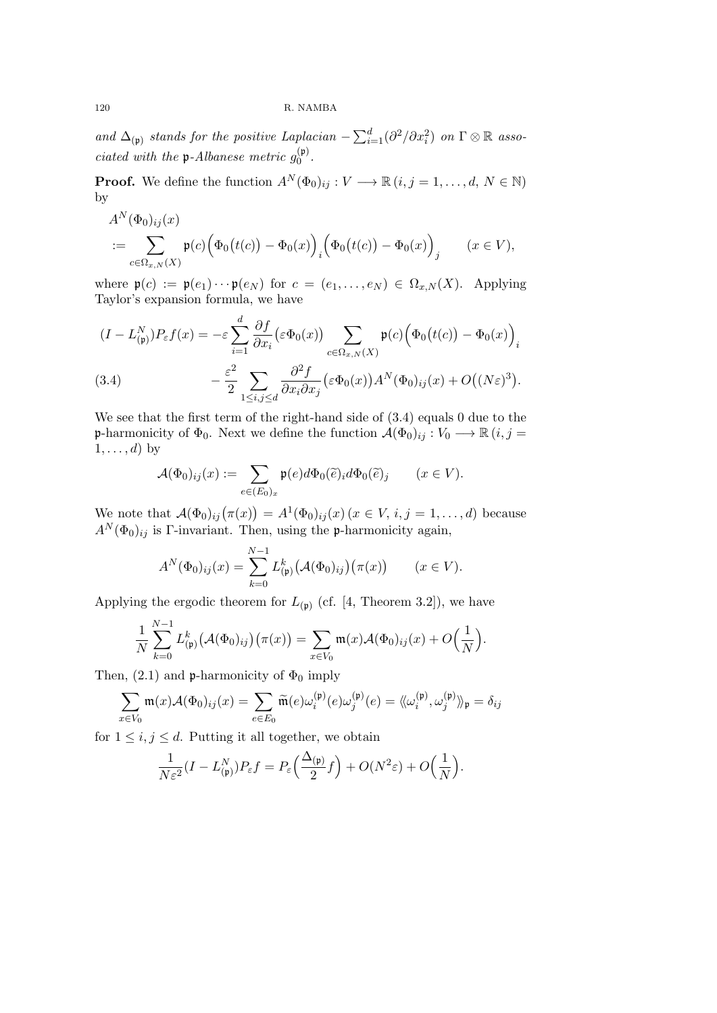*and*  $\Delta_{(p)}$  *stands for the positive Laplacian*  $-\sum_{i=1}^{d}(\partial^2/\partial x_i^2)$  *on*  $\Gamma \otimes \mathbb{R}$  *associated with the*  $\mathfrak{p}$ -Albanese metric  $g_0^{(\mathfrak{p})}$ 0 *.*

**Proof.** We define the function  $A^N(\Phi_0)_{ij}: V \longrightarrow \mathbb{R} \ (i, j = 1, \ldots, d, N \in \mathbb{N})$ by

$$
A^N(\Phi_0)_{ij}(x) = \sum_{c \in \Omega_{x,N}(X)} \mathfrak{p}(c) (\Phi_0(t(c)) - \Phi_0(x))_i (\Phi_0(t(c)) - \Phi_0(x))_j \qquad (x \in V),
$$

where  $\mathfrak{p}(c) := \mathfrak{p}(e_1) \cdots \mathfrak{p}(e_N)$  for  $c = (e_1, \ldots, e_N) \in \Omega_{x,N}(X)$ . Applying Taylor's expansion formula, we have

$$
(I - L_{(p)}^N)P_{\varepsilon}f(x) = -\varepsilon \sum_{i=1}^d \frac{\partial f}{\partial x_i} (\varepsilon \Phi_0(x)) \sum_{c \in \Omega_{x,N}(X)} \mathfrak{p}(c) \Big( \Phi_0(t(c)) - \Phi_0(x) \Big)_i
$$
  
(3.4) 
$$
- \frac{\varepsilon^2}{2} \sum_{1 \le i,j \le d} \frac{\partial^2 f}{\partial x_i \partial x_j} (\varepsilon \Phi_0(x)) A^N(\Phi_0)_{ij}(x) + O((N\varepsilon)^3).
$$

We see that the first term of the right-hand side of  $(3.4)$  equals 0 due to the **p**-harmonicity of  $\Phi_0$ . Next we define the function  $\mathcal{A}(\Phi_0)_{ij}: V_0 \longrightarrow \mathbb{R}$   $(i, j =$  $1, \ldots, d$ ) by

$$
\mathcal{A}(\Phi_0)_{ij}(x) := \sum_{e \in (E_0)_x} \mathfrak{p}(e) d\Phi_0(\widetilde{e})_i d\Phi_0(\widetilde{e})_j \qquad (x \in V).
$$

We note that  $A(\Phi_0)_{ij}(\pi(x)) = A^1(\Phi_0)_{ij}(x)$  ( $x \in V, i, j = 1, ..., d$ ) because  $A^N(\Phi_0)_{ij}$  is Γ-invariant. Then, using the p-harmonicity again,

$$
A^N(\Phi_0)_{ij}(x) = \sum_{k=0}^{N-1} L_{(p)}^k (\mathcal{A}(\Phi_0)_{ij}) (\pi(x)) \qquad (x \in V).
$$

Applying the ergodic theorem for  $L_{(p)}$  (cf. [4, Theorem 3.2]), we have

$$
\frac{1}{N}\sum_{k=0}^{N-1}L_{(\mathfrak{p})}^k(\mathcal{A}(\Phi_0)_{ij})(\pi(x))=\sum_{x\in V_0}\mathfrak{m}(x)\mathcal{A}(\Phi_0)_{ij}(x)+O\Big(\frac{1}{N}\Big).
$$

Then,  $(2.1)$  and p-harmonicity of  $\Phi_0$  imply

$$
\sum_{x \in V_0} \mathfrak{m}(x) \mathcal{A}(\Phi_0)_{ij}(x) = \sum_{e \in E_0} \widetilde{\mathfrak{m}}(e) \omega_i^{(\mathfrak{p})}(e) \omega_j^{(\mathfrak{p})}(e) = \langle \langle \omega_i^{(\mathfrak{p})}, \omega_j^{(\mathfrak{p})} \rangle \rangle_{\mathfrak{p}} = \delta_{ij}
$$

for  $1 \leq i, j \leq d$ . Putting it all together, we obtain

$$
\frac{1}{N\varepsilon^2}(I-L_{(\mathfrak{p})}^N)P_{\varepsilon}f=P_{\varepsilon}\Big(\frac{\Delta_{(\mathfrak{p})}}{2}f\Big)+O(N^2\varepsilon)+O\Big(\frac{1}{N}\Big).
$$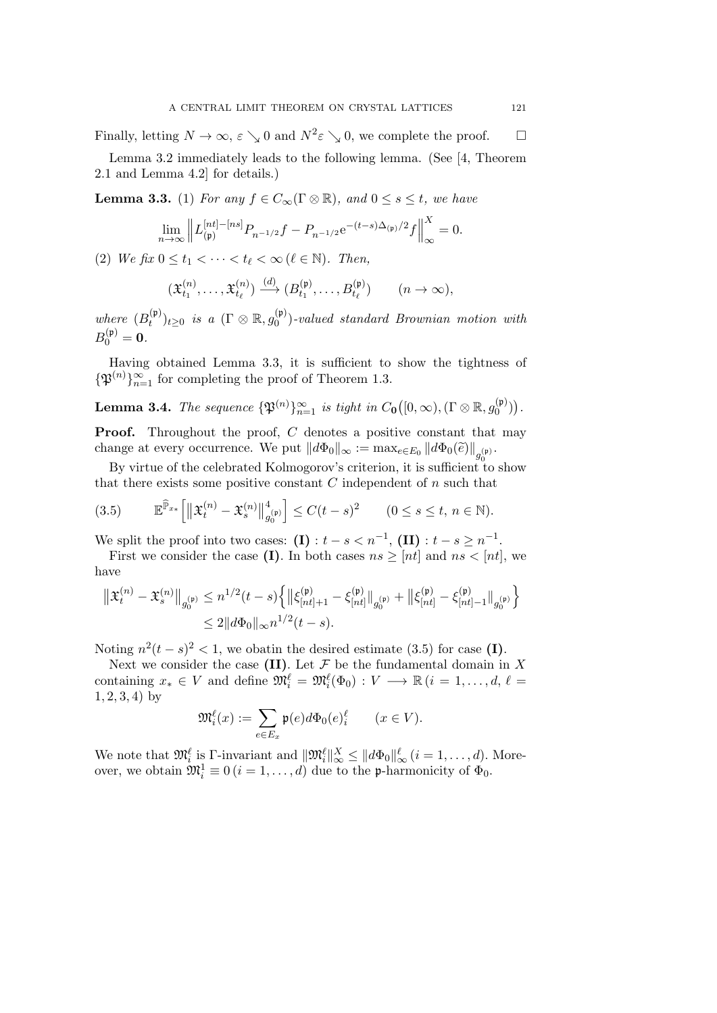Finally, letting  $N \to \infty$ ,  $\varepsilon \searrow 0$  and  $N^2 \varepsilon \searrow 0$ , we complete the proof.  $\Box$ 

Lemma 3.2 immediately leads to the following lemma. (See [4, Theorem 2.1 and Lemma 4.2] for details.)

**Lemma 3.3.** (1) *For any*  $f \in C_\infty(\Gamma \otimes \mathbb{R})$ *, and*  $0 \leq s \leq t$ *, we have* 

$$
\lim_{n \to \infty} \left\| L_{(\mathfrak{p})}^{[nt]-[ns]} P_{n^{-1/2}} f - P_{n^{-1/2}} e^{-(t-s)\Delta_{(\mathfrak{p})}/2} f \right\|_{\infty}^{X} = 0.
$$

(2) *We fix*  $0 \le t_1 < \cdots < t_\ell < \infty$  ( $\ell \in \mathbb{N}$ ). Then,

$$
(\mathfrak{X}_{t_1}^{(n)},\ldots,\mathfrak{X}_{t_\ell}^{(n)})\xrightarrow{(d)} (B_{t_1}^{(\mathfrak{p})},\ldots,B_{t_\ell}^{(\mathfrak{p})}) \qquad (n\to\infty),
$$

*where*  $(B_t^{(p)}$ *t*<sup>(p)</sup>)*t*≥0 *is a* (Γ  $\otimes$  R, *g*<sup>(p)</sup>) 0 )*-valued standard Brownian motion with*  $B_0^{(\mathfrak{p})} = 0.$ 

Having obtained Lemma 3*.*3, it is sufficient to show the tightness of  ${\mathfrak{P}}^{(n)}$ <sup>*n*</sup><sub>*n*=1</sub> for completing the proof of Theorem 1.3.

**Lemma 3.4.** *The sequence*  $\{\mathfrak{P}^{(n)}\}_{n=1}^{\infty}$  *is tight in*  $C_0([0,\infty), (\Gamma \otimes \mathbb{R}, g_0^{(p)})$  $\binom{\mathfrak{p}}{0}$ ).

**Proof.** Throughout the proof, *C* denotes a positive constant that may change at every occurrence. We put  $||d\Phi_0||_{\infty} := \max_{e \in E_0} ||d\Phi_0(\widetilde{e})||_{g_0^{(\mathfrak{p})}}.$ 

By virtue of the celebrated Kolmogorov's criterion, it is sufficient to show that there exists some positive constant *C* independent of *n* such that

$$
(3.5) \t\t \mathbb{E}^{\widehat{\mathbb{P}}_{x_*}} \Big[ \big\| \mathfrak{X}_t^{(n)} - \mathfrak{X}_s^{(n)} \big\|_{g_0^{(p)}}^4 \Big] \le C(t-s)^2 \t (0 \le s \le t, n \in \mathbb{N}).
$$

We split the proof into two cases:  $(I) : t - s < n^{-1}$ ,  $(II) : t - s \geq n^{-1}$ .

First we consider the case **(I)**. In both cases  $ns \geq [nt]$  and  $ns < [nt]$ , we have

$$
\begin{aligned} \left\| \mathfrak{X}_{t}^{(n)} - \mathfrak{X}_{s}^{(n)} \right\|_{g_{0}^{(\mathfrak{p})}} &\leq n^{1/2} (t-s) \Big\{ \left\| \xi_{[nt] + 1}^{(\mathfrak{p})} - \xi_{[nt]}^{(\mathfrak{p})} \right\|_{g_{0}^{(\mathfrak{p})}} + \left\| \xi_{[nt]}^{(\mathfrak{p})} - \xi_{[nt] - 1}^{(\mathfrak{p})} \right\|_{g_{0}^{(\mathfrak{p})}} \Big\} \\ &\leq 2 \| d \Phi_{0} \|_{\infty} n^{1/2} (t-s). \end{aligned}
$$

Noting  $n^2(t-s)^2 < 1$ , we obatin the desired estimate (3.5) for case (I).

Next we consider the case  $(II)$ . Let  $\mathcal F$  be the fundamental domain in  $X$ containing  $x_* \in V$  and define  $\mathfrak{M}_i^{\ell} = \mathfrak{M}_i^{\ell}(\Phi_0) : V \longrightarrow \mathbb{R}$   $(i = 1, ..., d, \ell =$ 1*,* 2*,* 3*,* 4) by

$$
\mathfrak{M}_i^{\ell}(x) := \sum_{e \in E_x} \mathfrak{p}(e) d\Phi_0(e)_i^{\ell} \qquad (x \in V).
$$

We note that  $\mathfrak{M}_{i}^{\ell}$  is  $\Gamma$ -invariant and  $\|\mathfrak{M}_{i}^{\ell}\|_{\infty}^{X} \leq \|d\Phi_{0}\|_{\infty}^{\ell}$   $(i = 1, \ldots, d)$ . Moreover, we obtain  $\mathfrak{M}_i^1 \equiv 0$   $(i = 1, ..., d)$  due to the **p**-harmonicity of  $\Phi_0$ .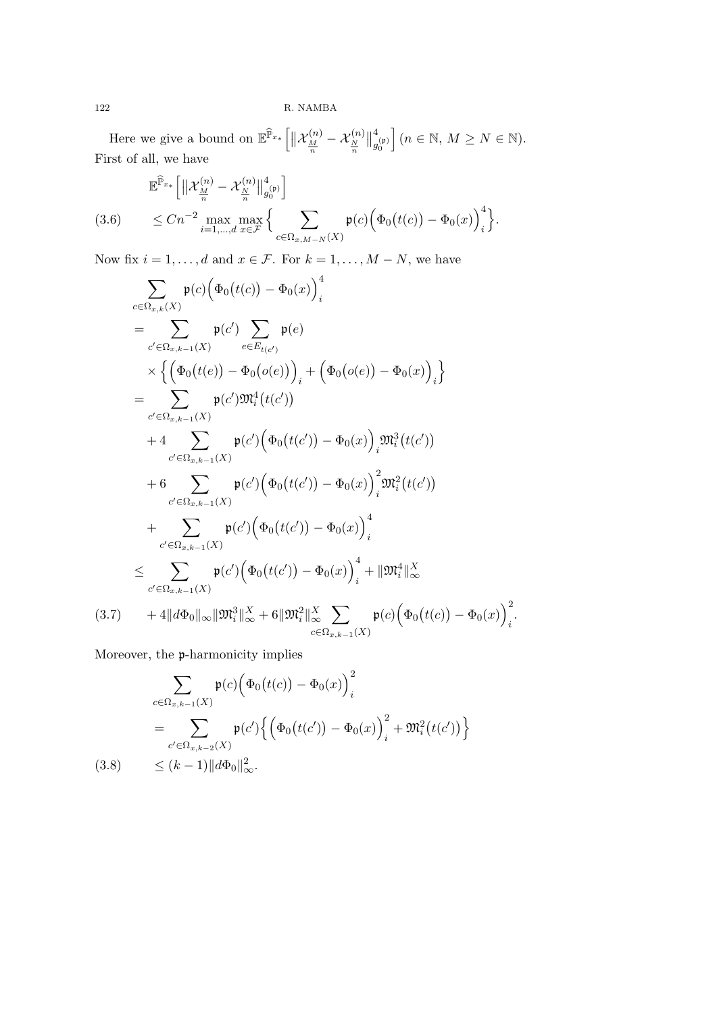Here we give a bound on  $\mathbb{E}^{\widehat{\mathbb{P}}_{x_*}}\left[ \left\| \mathcal{X}_{\frac{M}{n}}^{(n)} - \mathcal{X}_{\frac{N}{n}}^{(n)} \right\| \right]$  $\parallel_g^4$  $g_0^{(\mathfrak{p})}$  $(n \in \mathbb{N}, M \geq N \in \mathbb{N}).$ First of all, we have

$$
\mathbb{E}^{\widehat{\mathbb{P}}_{x_*}} \Big[ \Big\| \mathcal{X}_{\frac{M}{n}}^{(n)} - \mathcal{X}_{\frac{N}{n}}^{(n)} \Big\|_{g_0^{(p)}}^4 \Big] \n(3.6) \qquad \leq Cn^{-2} \max_{i=1,\dots,d} \max_{x \in \mathcal{F}} \Big\{ \sum_{c \in \Omega_{x,M-N}(X)} \mathfrak{p}(c) \Big( \Phi_0(t(c)) - \Phi_0(x) \Big)^4_i \Big\}.
$$

Now fix  $i = 1, \ldots, d$  and  $x \in \mathcal{F}$ . For  $k = 1, \ldots, M - N$ , we have

$$
\sum_{c \in \Omega_{x,k}(X)} \mathfrak{p}(c) \Big( \Phi_0(t(c)) - \Phi_0(x) \Big)_i^4
$$
\n
$$
= \sum_{c' \in \Omega_{x,k-1}(X)} \mathfrak{p}(c') \sum_{e \in E_{t(c')}} \mathfrak{p}(e)
$$
\n
$$
\times \Big\{ \Big( \Phi_0(t(e)) - \Phi_0(o(e)) \Big)_i + \Big( \Phi_0(o(e)) - \Phi_0(x) \Big)_i \Big\}
$$
\n
$$
= \sum_{c' \in \Omega_{x,k-1}(X)} \mathfrak{p}(c') \mathfrak{M}_i^4(t(c'))
$$
\n
$$
+ 4 \sum_{c' \in \Omega_{x,k-1}(X)} \mathfrak{p}(c') \Big( \Phi_0(t(c')) - \Phi_0(x) \Big)_i \mathfrak{M}_i^3(t(c'))
$$
\n
$$
+ 6 \sum_{c' \in \Omega_{x,k-1}(X)} \mathfrak{p}(c') \Big( \Phi_0(t(c')) - \Phi_0(x) \Big)_i^2 \mathfrak{M}_i^2(t(c'))
$$
\n
$$
+ \sum_{c' \in \Omega_{x,k-1}(X)} \mathfrak{p}(c') \Big( \Phi_0(t(c')) - \Phi_0(x) \Big)_i^4
$$
\n
$$
\leq \sum_{c' \in \Omega_{x,k-1}(X)} \mathfrak{p}(c') \Big( \Phi_0(t(c')) - \Phi_0(x) \Big)_i^4 + ||\mathfrak{M}_i^4||_{\infty}^X
$$
\n(3.7) 
$$
+ 4||d\Phi_0||_{\infty} ||\mathfrak{M}_i^3||_{\infty}^X + 6||\mathfrak{M}_i^2||_{\infty}^X \sum_{c \in \Omega_{x,k-1}(X)} \mathfrak{p}(c) \Big( \Phi_0(t(c)) - \Phi_0(x) \Big)_i^2.
$$

Moreover, the p-harmonicity implies

$$
\sum_{c \in \Omega_{x,k-1}(X)} \mathfrak{p}(c) \Big( \Phi_0(t(c)) - \Phi_0(x) \Big)_i^2
$$
\n
$$
= \sum_{c' \in \Omega_{x,k-2}(X)} \mathfrak{p}(c') \Big\{ \Big( \Phi_0(t(c')) - \Phi_0(x) \Big)_i^2 + \mathfrak{M}_i^2(t(c')) \Big\}
$$
\n(3.8) 
$$
\leq (k-1) ||d\Phi_0||_{\infty}^2.
$$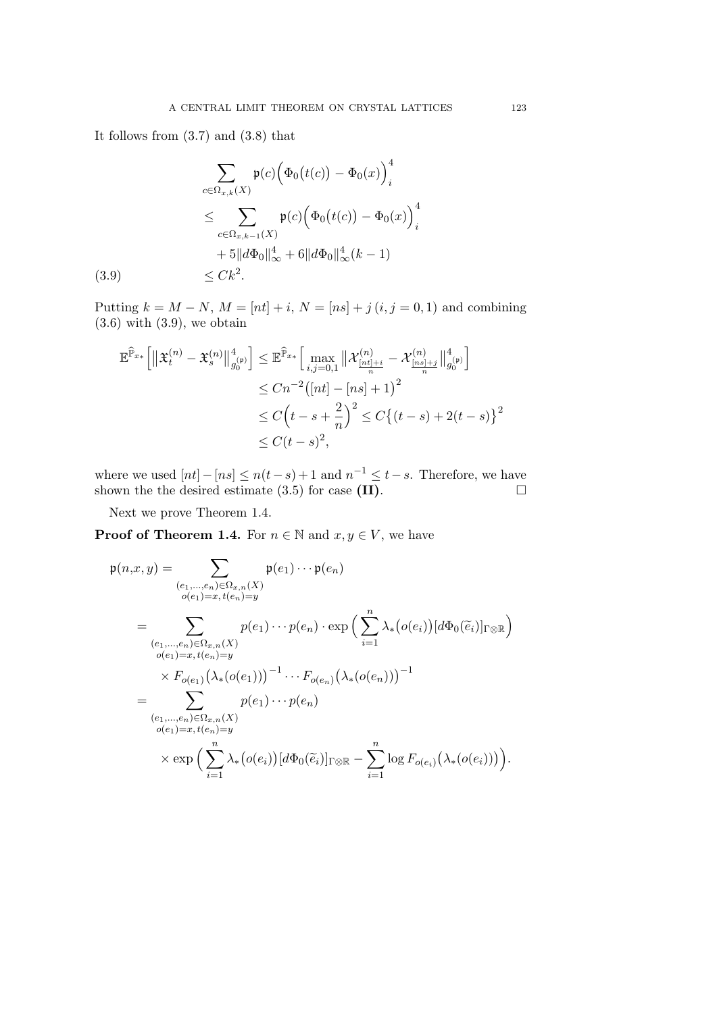It follows from (3.7) and (3.8) that

$$
\sum_{c \in \Omega_{x,k}(X)} \mathfrak{p}(c) \Big( \Phi_0(t(c)) - \Phi_0(x) \Big)_i^4
$$
  
\n
$$
\leq \sum_{c \in \Omega_{x,k-1}(X)} \mathfrak{p}(c) \Big( \Phi_0(t(c)) - \Phi_0(x) \Big)_i^4
$$
  
\n
$$
+ 5 \| d\Phi_0 \|_{\infty}^4 + 6 \| d\Phi_0 \|_{\infty}^4 (k-1)
$$
  
\n(3.9) 
$$
\leq C k^2.
$$

Putting  $k = M - N$ ,  $M = [nt] + i$ ,  $N = [ns] + j (i, j = 0, 1)$  and combining  $(3.6)$  with  $(3.9)$ , we obtain

$$
\mathbb{E}^{\widehat{\mathbb{P}}_{x*}} \Big[ \left\| \mathfrak{X}_{t}^{(n)} - \mathfrak{X}_{s}^{(n)} \right\|_{g_{0}^{(p)}}^{4} \Big] \leq \mathbb{E}^{\widehat{\mathbb{P}}_{x*}} \Big[ \max_{i,j=0,1} \left\| \mathcal{X}_{\frac{[nt]+i}{n}}^{(n)} - \mathcal{X}_{\frac{[ns]+j}{n}}^{(n)} \right\|_{g_{0}^{(p)}}^{4} \Big] \n\leq Cn^{-2} \big( [nt] - [ns] + 1 \big)^{2} \n\leq C \Big( t - s + \frac{2}{n} \Big)^{2} \leq C \big\{ (t-s) + 2(t-s) \big\}^{2} \n\leq C(t-s)^{2},
$$

where we used  $[nt] - [ns] \leq n(t-s) + 1$  and  $n^{-1} \leq t-s$ . Therefore, we have shown the the desired estimate  $(3.5)$  for case  $(II)$ .  $\Box$ 

Next we prove Theorem 1.4.

**Proof of Theorem 1.4.** For  $n \in \mathbb{N}$  and  $x, y \in V$ , we have

$$
\mathfrak{p}(n,x,y) = \sum_{\substack{(e_1,\ldots,e_n)\in\Omega_{x,n}(X)\\o(e_1)=x,\,t(e_n)=y}} \mathfrak{p}(e_1)\cdots\mathfrak{p}(e_n)
$$
\n
$$
= \sum_{\substack{(e_1,\ldots,e_n)\in\Omega_{x,n}(X)\\o(e_1)=x,\,t(e_n)=y}} p(e_1)\cdots p(e_n) \cdot \exp\Big(\sum_{i=1}^n \lambda_*(o(e_i))[d\Phi_0(\widetilde{e}_i)]_{\Gamma\otimes\mathbb{R}}\Big)
$$
\n
$$
\times F_{o(e_1)}\big(\lambda_*(o(e_1))\big)^{-1}\cdots F_{o(e_n)}\big(\lambda_*(o(e_n))\big)^{-1}
$$
\n
$$
= \sum_{\substack{(e_1,\ldots,e_n)\in\Omega_{x,n}(X)\\o(e_1)=x,\,t(e_n)=y}} p(e_1)\cdots p(e_n)
$$
\n
$$
\times \exp\Big(\sum_{i=1}^n \lambda_*(o(e_i))[d\Phi_0(\widetilde{e}_i)]_{\Gamma\otimes\mathbb{R}} - \sum_{i=1}^n \log F_{o(e_i)}\big(\lambda_*(o(e_i))\big)\Big).
$$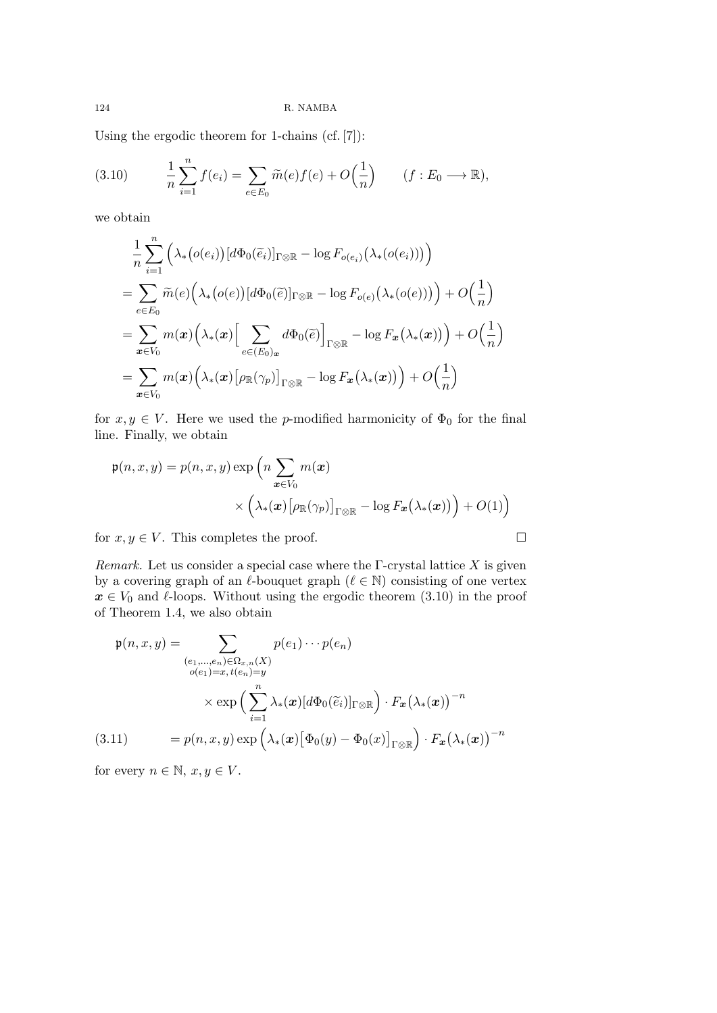Using the ergodic theorem for 1-chains (cf. [7]):

(3.10) 
$$
\frac{1}{n}\sum_{i=1}^{n}f(e_i) = \sum_{e\in E_0}\widetilde{m}(e)f(e) + O\left(\frac{1}{n}\right) \qquad (f:E_0 \longrightarrow \mathbb{R}),
$$

we obtain

$$
\frac{1}{n} \sum_{i=1}^{n} \left( \lambda_{*} (o(e_{i})) [d\Phi_{0}(\widetilde{e}_{i})]_{\Gamma \otimes \mathbb{R}} - \log F_{o(e_{i})} (\lambda_{*} (o(e_{i}))) \right)
$$
\n
$$
= \sum_{e \in E_{0}} \widetilde{m}(e) \left( \lambda_{*} (o(e)) [d\Phi_{0}(\widetilde{e})]_{\Gamma \otimes \mathbb{R}} - \log F_{o(e)} (\lambda_{*} (o(e))) \right) + O\left(\frac{1}{n}\right)
$$
\n
$$
= \sum_{x \in V_{0}} m(x) \left( \lambda_{*}(x) \Big[ \sum_{e \in (E_{0})_{x}} d\Phi_{0}(\widetilde{e}) \Big]_{\Gamma \otimes \mathbb{R}} - \log F_{x} (\lambda_{*}(x)) \right) + O\left(\frac{1}{n}\right)
$$
\n
$$
= \sum_{x \in V_{0}} m(x) \left( \lambda_{*}(x) \big[ \rho_{\mathbb{R}}(\gamma_{p}) \big]_{\Gamma \otimes \mathbb{R}} - \log F_{x} (\lambda_{*}(x)) \right) + O\left(\frac{1}{n}\right)
$$

for  $x, y \in V$ . Here we used the *p*-modified harmonicity of  $\Phi_0$  for the final line. Finally, we obtain

$$
\mathfrak{p}(n, x, y) = p(n, x, y) \exp \left( n \sum_{\mathbf{x} \in V_0} m(\mathbf{x}) \times \left( \lambda_*(\mathbf{x}) \left[ \rho_{\mathbb{R}}(\gamma_p) \right]_{\Gamma \otimes \mathbb{R}} - \log F_{\mathbf{x}}(\lambda_*(\mathbf{x})) \right) + O(1) \right)
$$

for  $x, y \in V$ . This completes the proof.  $\Box$ 

*Remark.* Let us consider a special case where the Γ-crystal lattice *X* is given by a covering graph of an  $\ell$ -bouquet graph  $(\ell \in \mathbb{N})$  consisting of one vertex  $x \in V_0$  and  $\ell$ -loops. Without using the ergodic theorem (3.10) in the proof of Theorem 1.4, we also obtain

$$
\mathfrak{p}(n, x, y) = \sum_{\substack{(e_1, \dots, e_n) \in \Omega_{x, n}(X) \\ o(e_1) = x, t(e_n) = y}} p(e_1) \cdots p(e_n)
$$
\n
$$
\times \exp\left(\sum_{i=1}^n \lambda_i(\boldsymbol{x}) [d\Phi_0(\widetilde{e}_i)]_{\Gamma \otimes \mathbb{R}}\right) \cdot F_{\boldsymbol{x}}(\lambda_*(\boldsymbol{x}))^{-n}
$$
\n(3.11) 
$$
= p(n, x, y) \exp\left(\lambda_*(\boldsymbol{x}) [\Phi_0(y) - \Phi_0(x)]_{\Gamma \otimes \mathbb{R}}\right) \cdot F_{\boldsymbol{x}}(\lambda_*(\boldsymbol{x}))^{-n}
$$

for every  $n \in \mathbb{N}, x, y \in V$ .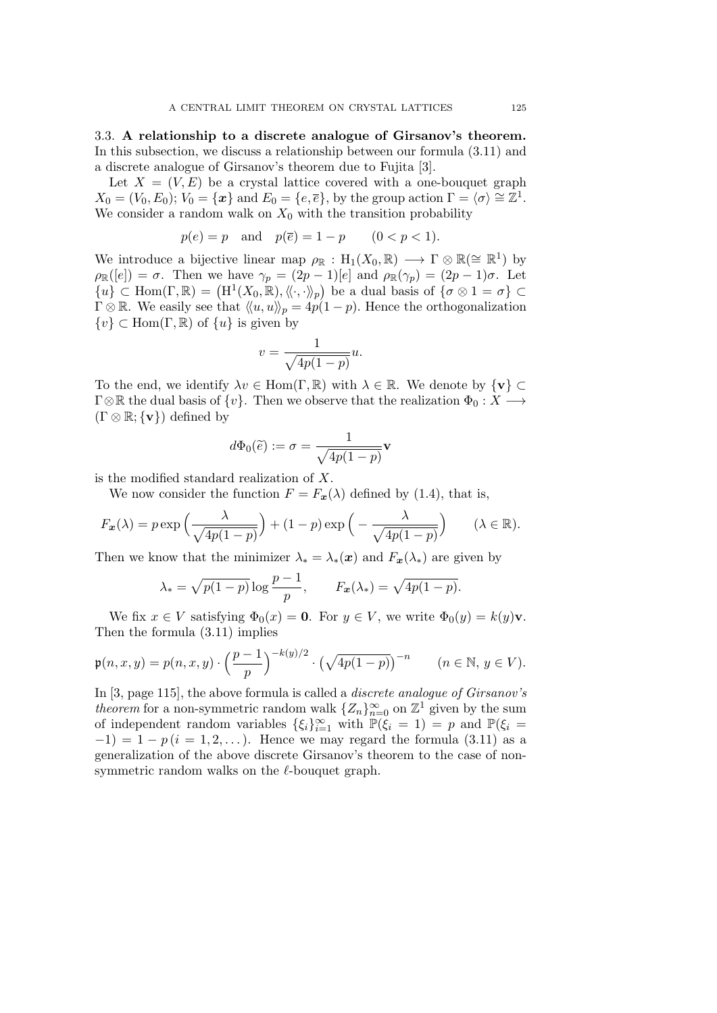3.3. **A relationship to a discrete analogue of Girsanov's theorem.** In this subsection, we discuss a relationship between our formula (3.11) and a discrete analogue of Girsanov's theorem due to Fujita [3].

Let  $X = (V, E)$  be a crystal lattice covered with a one-bouquet graph  $X_0 = (V_0, E_0); V_0 = \{x\}$  and  $E_0 = \{e, \overline{e}\}$ , by the group action  $\Gamma = \langle \sigma \rangle \cong \mathbb{Z}^1$ . We consider a random walk on  $X_0$  with the transition probability

$$
p(e) = p
$$
 and  $p(\overline{e}) = 1 - p$   $(0 < p < 1).$ 

We introduce a bijective linear map  $\rho_{\mathbb{R}} : H_1(X_0, \mathbb{R}) \longrightarrow \Gamma \otimes \mathbb{R} (\cong \mathbb{R}^1)$  by  $\rho_{\mathbb{R}}([e]) = \sigma$ . Then we have  $\gamma_p = (2p-1)[e]$  and  $\rho_{\mathbb{R}}(\gamma_p) = (2p-1)\sigma$ . Let  $\{u\} \subset \text{Hom}(\Gamma, \mathbb{R}) = (\text{H}^1(X_0, \mathbb{R}), \langle\!\langle \cdot, \cdot \rangle\!\rangle_p)$  be a dual basis of  $\{\sigma \otimes 1 = \sigma\} \subset$  $\Gamma \otimes \mathbb{R}$ . We easily see that  $\langle\langle u, u \rangle\rangle_p = 4p(1-p)$ . Hence the orthogonalization *{v} ⊂* Hom(Γ*,* R) of *{u}* is given by

$$
v = \frac{1}{\sqrt{4p(1-p)}}u.
$$

To the end, we identify  $\lambda v \in \text{Hom}(\Gamma, \mathbb{R})$  with  $\lambda \in \mathbb{R}$ . We denote by  $\{v\} \subset \mathbb{R}$  $\Gamma \otimes \mathbb{R}$  the dual basis of  $\{v\}$ . Then we observe that the realization  $\Phi_0 : X \longrightarrow$  $(\Gamma \otimes \mathbb{R}; \{v\})$  defined by

$$
d\Phi_0(\widetilde{e}):=\sigma=\frac{1}{\sqrt{4p(1-p)}}\mathbf{v}
$$

is the modified standard realization of *X*.

We now consider the function  $F = F_x(\lambda)$  defined by (1.4), that is,

$$
F_{\boldsymbol{x}}(\lambda) = p \exp\left(\frac{\lambda}{\sqrt{4p(1-p)}}\right) + (1-p) \exp\left(-\frac{\lambda}{\sqrt{4p(1-p)}}\right) \qquad (\lambda \in \mathbb{R}).
$$

Then we know that the minimizer  $\lambda_* = \lambda_*(\mathbf{x})$  and  $F_{\mathbf{x}}(\lambda_*)$  are given by

$$
\lambda_* = \sqrt{p(1-p)} \log \frac{p-1}{p}, \qquad F_x(\lambda_*) = \sqrt{4p(1-p)}.
$$

We fix  $x \in V$  satisfying  $\Phi_0(x) = \mathbf{0}$ . For  $y \in V$ , we write  $\Phi_0(y) = k(y)\mathbf{v}$ . Then the formula (3.11) implies

$$
\mathfrak{p}(n, x, y) = p(n, x, y) \cdot \left(\frac{p-1}{p}\right)^{-k(y)/2} \cdot \left(\sqrt{4p(1-p)}\right)^{-n} \qquad (n \in \mathbb{N}, y \in V).
$$

In [3, page 115], the above formula is called a *discrete analogue of Girsanov's theorem* for a non-symmetric random walk  $\{Z_n\}_{n=0}^{\infty}$  on  $\mathbb{Z}^1$  given by the sum of independent random variables  $\{\xi_i\}_{i=1}^{\infty}$  with  $\mathbb{P}(\xi_i = 1) = p$  and  $\mathbb{P}(\xi_i = 1)$ *−*1) = 1 − *p*(*i* = 1, 2, ...). Hence we may regard the formula (3.11) as a generalization of the above discrete Girsanov's theorem to the case of nonsymmetric random walks on the *ℓ*-bouquet graph.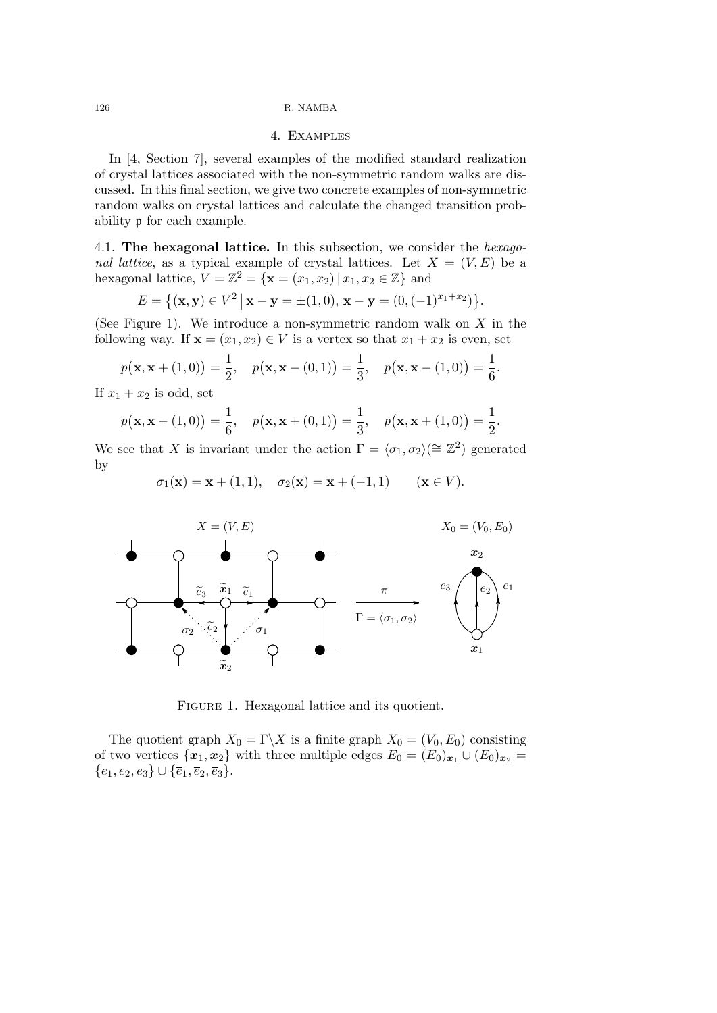## 4. Examples

In [4, Section 7], several examples of the modified standard realization of crystal lattices associated with the non-symmetric random walks are discussed. In this final section, we give two concrete examples of non-symmetric random walks on crystal lattices and calculate the changed transition probability p for each example.

4.1. **The hexagonal lattice.** In this subsection, we consider the *hexagonal lattice*, as a typical example of crystal lattices. Let  $X = (V, E)$  be a hexagonal lattice,  $V = \mathbb{Z}^2 = \{ \mathbf{x} = (x_1, x_2) | x_1, x_2 \in \mathbb{Z} \}$  and

$$
E = \{ (\mathbf{x}, \mathbf{y}) \in V^2 \, | \, \mathbf{x} - \mathbf{y} = \pm (1, 0), \, \mathbf{x} - \mathbf{y} = (0, (-1)^{x_1 + x_2}) \}.
$$

(See Figure 1). We introduce a non-symmetric random walk on *X* in the following way. If  $\mathbf{x} = (x_1, x_2) \in V$  is a vertex so that  $x_1 + x_2$  is even, set

$$
p(\mathbf{x}, \mathbf{x} + (1, 0)) = \frac{1}{2}, \quad p(\mathbf{x}, \mathbf{x} - (0, 1)) = \frac{1}{3}, \quad p(\mathbf{x}, \mathbf{x} - (1, 0)) = \frac{1}{6}.
$$

If  $x_1 + x_2$  is odd, set

$$
p(\mathbf{x}, \mathbf{x} - (1, 0)) = \frac{1}{6}, \quad p(\mathbf{x}, \mathbf{x} + (0, 1)) = \frac{1}{3}, \quad p(\mathbf{x}, \mathbf{x} + (1, 0)) = \frac{1}{2}.
$$

We see that *X* is invariant under the action  $\Gamma = \langle \sigma_1, \sigma_2 \rangle (\cong \mathbb{Z}^2)$  generated by

$$
\sigma_1(\mathbf{x}) = \mathbf{x} + (1, 1), \quad \sigma_2(\mathbf{x}) = \mathbf{x} + (-1, 1) \quad (\mathbf{x} \in V).
$$



Figure 1. Hexagonal lattice and its quotient.

The quotient graph  $X_0 = \Gamma \backslash X$  is a finite graph  $X_0 = (V_0, E_0)$  consisting of two vertices  $\{x_1, x_2\}$  with three multiple edges  $E_0 = (E_0)_{x_1} \cup (E_0)_{x_2}$ *{e*1*, e*2*, e*3*} ∪ {e*1*, e*2*, e*3*}*.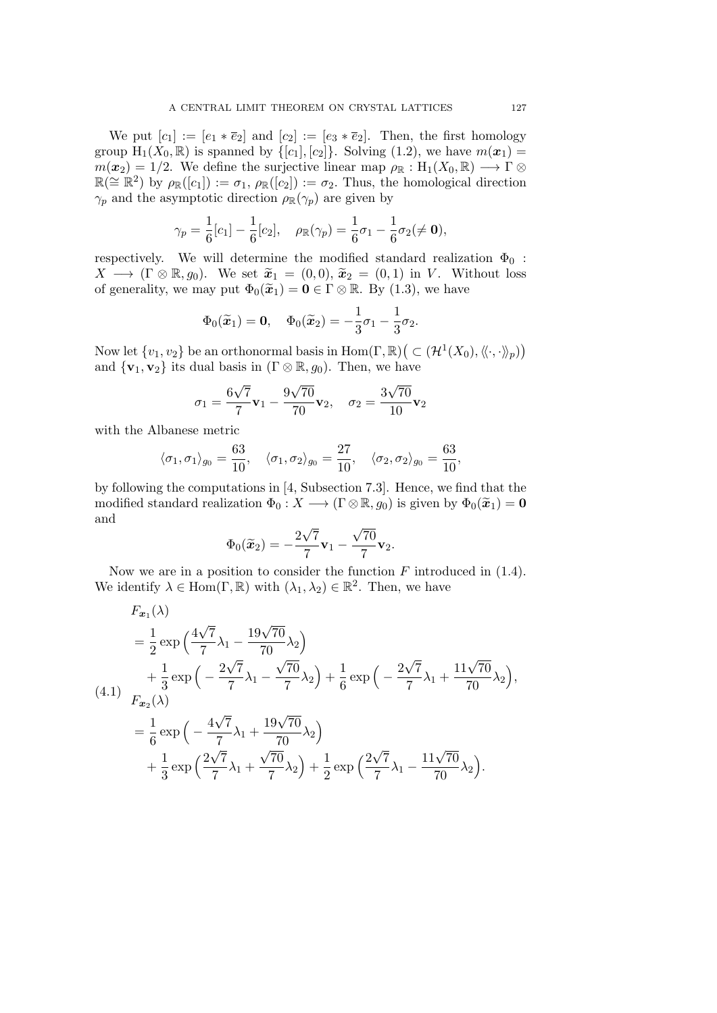We put  $[c_1] := [e_1 * \overline{e}_2]$  and  $[c_2] := [e_3 * \overline{e}_2]$ . Then, the first homology group  $H_1(X_0, \mathbb{R})$  is spanned by  $\{[c_1], [c_2]\}$ . Solving (1.2), we have  $m(\boldsymbol{x}_1)$  $m(x_2) = 1/2$ . We define the surjective linear map  $\rho_{\mathbb{R}} : H_1(X_0, \mathbb{R}) \longrightarrow \Gamma \otimes$  $\mathbb{R}(\cong \mathbb{R}^2)$  by  $\rho_{\mathbb{R}}([c_1]) := \sigma_1$ ,  $\rho_{\mathbb{R}}([c_2]) := \sigma_2$ . Thus, the homological direction *γ*<sub>*p*</sub> and the asymptotic direction  $ρ_{\mathbb{R}}(γ_p)$  are given by

$$
\gamma_p = \frac{1}{6} [c_1] - \frac{1}{6} [c_2], \quad \rho_{\mathbb{R}}(\gamma_p) = \frac{1}{6} \sigma_1 - \frac{1}{6} \sigma_2 (\neq \mathbf{0}),
$$

respectively. We will determine the modified standard realization  $\Phi_0$ :  $X \longrightarrow (\Gamma \otimes \mathbb{R}, g_0)$ . We set  $\widetilde{x}_1 = (0,0), \widetilde{x}_2 = (0,1)$  in *V*. Without loss of generality, we may put  $\Phi_0(\tilde{x}_1) = \mathbf{0} \in \Gamma \otimes \mathbb{R}$ . By (1.3), we have

$$
\Phi_0(\widetilde{\boldsymbol{x}}_1)=\boldsymbol{0},\quad \Phi_0(\widetilde{\boldsymbol{x}}_2)=-\frac{1}{3}\sigma_1-\frac{1}{3}\sigma_2.
$$

Now let  $\{v_1, v_2\}$  be an orthonormal basis in  $\text{Hom}(\Gamma, \mathbb{R})\big(\subset (\mathcal{H}^1(X_0), \langle\!\langle \cdot, \cdot \rangle\!\rangle_p)\big)$ and  ${\bf v}_1, {\bf v}_2$  its dual basis in ( $\Gamma \otimes \mathbb{R}, g_0$ ). Then, we have

$$
\sigma_1 = \frac{6\sqrt{7}}{7}\mathbf{v}_1 - \frac{9\sqrt{70}}{70}\mathbf{v}_2, \quad \sigma_2 = \frac{3\sqrt{70}}{10}\mathbf{v}_2
$$

with the Albanese metric

$$
\langle \sigma_1, \sigma_1 \rangle_{g_0} = \frac{63}{10}, \quad \langle \sigma_1, \sigma_2 \rangle_{g_0} = \frac{27}{10}, \quad \langle \sigma_2, \sigma_2 \rangle_{g_0} = \frac{63}{10},
$$

by following the computations in [4, Subsection 7.3]. Hence, we find that the modified standard realization  $\Phi_0: X \longrightarrow (\Gamma \otimes \mathbb{R}, g_0)$  is given by  $\Phi_0(\widetilde{x}_1) = \mathbf{0}$ and *√ √*

$$
\Phi_0(\widetilde{\mathbf{x}}_2) = -\frac{2\sqrt{7}}{7}\mathbf{v}_1 - \frac{\sqrt{70}}{7}\mathbf{v}_2.
$$

Now we are in a position to consider the function  $F$  introduced in  $(1.4)$ . We identify  $\lambda \in \text{Hom}(\Gamma, \mathbb{R})$  with  $(\lambda_1, \lambda_2) \in \mathbb{R}^2$ . Then, we have

$$
F_{\boldsymbol{x}_1}(\lambda)
$$
  
=  $\frac{1}{2} \exp\left(\frac{4\sqrt{7}}{7}\lambda_1 - \frac{19\sqrt{70}}{70}\lambda_2\right)$   
+  $\frac{1}{3} \exp\left(-\frac{2\sqrt{7}}{7}\lambda_1 - \frac{\sqrt{70}}{7}\lambda_2\right) + \frac{1}{6} \exp\left(-\frac{2\sqrt{7}}{7}\lambda_1 + \frac{11\sqrt{70}}{70}\lambda_2\right),$   
=  $\frac{1}{6} \exp\left(-\frac{4\sqrt{7}}{7}\lambda_1 + \frac{19\sqrt{70}}{70}\lambda_2\right)$   
+  $\frac{1}{3} \exp\left(\frac{2\sqrt{7}}{7}\lambda_1 + \frac{\sqrt{70}}{7}\lambda_2\right) + \frac{1}{2} \exp\left(\frac{2\sqrt{7}}{7}\lambda_1 - \frac{11\sqrt{70}}{70}\lambda_2\right).$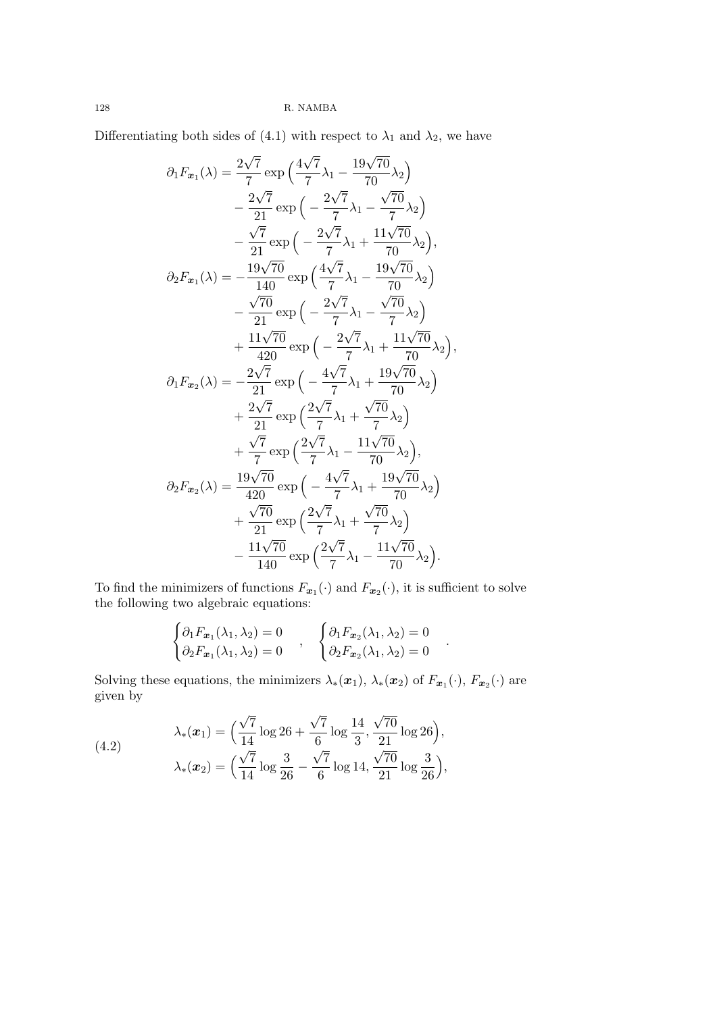Differentiating both sides of (4.1) with respect to  $\lambda_1$  and  $\lambda_2$ , we have

$$
\partial_1 F_{\mathbf{x}_1}(\lambda) = \frac{2\sqrt{7}}{7} \exp\left(\frac{4\sqrt{7}}{7}\lambda_1 - \frac{19\sqrt{70}}{70}\lambda_2\right) \n- \frac{2\sqrt{7}}{21} \exp\left(-\frac{2\sqrt{7}}{7}\lambda_1 - \frac{\sqrt{70}}{7}\lambda_2\right) \n- \frac{\sqrt{7}}{21} \exp\left(-\frac{2\sqrt{7}}{7}\lambda_1 + \frac{11\sqrt{70}}{70}\lambda_2\right), \n\partial_2 F_{\mathbf{x}_1}(\lambda) = -\frac{19\sqrt{70}}{140} \exp\left(\frac{4\sqrt{7}}{7}\lambda_1 - \frac{19\sqrt{70}}{70}\lambda_2\right) \n- \frac{\sqrt{70}}{21} \exp\left(-\frac{2\sqrt{7}}{7}\lambda_1 - \frac{\sqrt{70}}{7}\lambda_2\right) \n+ \frac{11\sqrt{70}}{420} \exp\left(-\frac{2\sqrt{7}}{7}\lambda_1 + \frac{11\sqrt{70}}{70}\lambda_2\right), \n\partial_1 F_{\mathbf{x}_2}(\lambda) = -\frac{2\sqrt{7}}{21} \exp\left(-\frac{4\sqrt{7}}{7}\lambda_1 + \frac{19\sqrt{70}}{70}\lambda_2\right) \n+ \frac{2\sqrt{7}}{21} \exp\left(\frac{2\sqrt{7}}{7}\lambda_1 + \frac{\sqrt{70}}{7}\lambda_2\right) \n+ \frac{\sqrt{7}}{7} \exp\left(\frac{2\sqrt{7}}{7}\lambda_1 - \frac{11\sqrt{70}}{70}\lambda_2\right), \n\partial_2 F_{\mathbf{x}_2}(\lambda) = \frac{19\sqrt{70}}{420} \exp\left(-\frac{4\sqrt{7}}{7}\lambda_1 + \frac{19\sqrt{70}}{70}\lambda_2\right) \n+ \frac{\sqrt{70}}{21} \exp\left(\frac{2\sqrt{7}}{7}\lambda_1 + \frac{\sqrt{70}}{7}\lambda_2\right) \n- \frac{11\sqrt{70}}{140} \exp\left(\frac{2\sqrt{7}}{7}\lambda_1 - \frac{11\sqrt{70}}{70}\lambda_
$$

To find the minimizers of functions  $F_{\boldsymbol{x}_1}(\cdot)$  and  $F_{\boldsymbol{x}_2}(\cdot)$ , it is sufficient to solve the following two algebraic equations:

$$
\begin{cases}\n\partial_1 F_{\mathbf{x}_1}(\lambda_1, \lambda_2) = 0 \\
\partial_2 F_{\mathbf{x}_1}(\lambda_1, \lambda_2) = 0\n\end{cases}, \quad \begin{cases}\n\partial_1 F_{\mathbf{x}_2}(\lambda_1, \lambda_2) = 0 \\
\partial_2 F_{\mathbf{x}_2}(\lambda_1, \lambda_2) = 0\n\end{cases}.
$$

Solving these equations, the minimizers  $\lambda_*(\bm{x}_1)$ ,  $\lambda_*(\bm{x}_2)$  of  $F_{\bm{x}_1}(\cdot)$ ,  $F_{\bm{x}_2}(\cdot)$  are given by

(4.2) 
$$
\lambda_*(x_1) = \left(\frac{\sqrt{7}}{14}\log 26 + \frac{\sqrt{7}}{6}\log \frac{14}{3}, \frac{\sqrt{70}}{21}\log 26\right),
$$

$$
\lambda_*(x_2) = \left(\frac{\sqrt{7}}{14}\log \frac{3}{26} - \frac{\sqrt{7}}{6}\log 14, \frac{\sqrt{70}}{21}\log \frac{3}{26}\right),
$$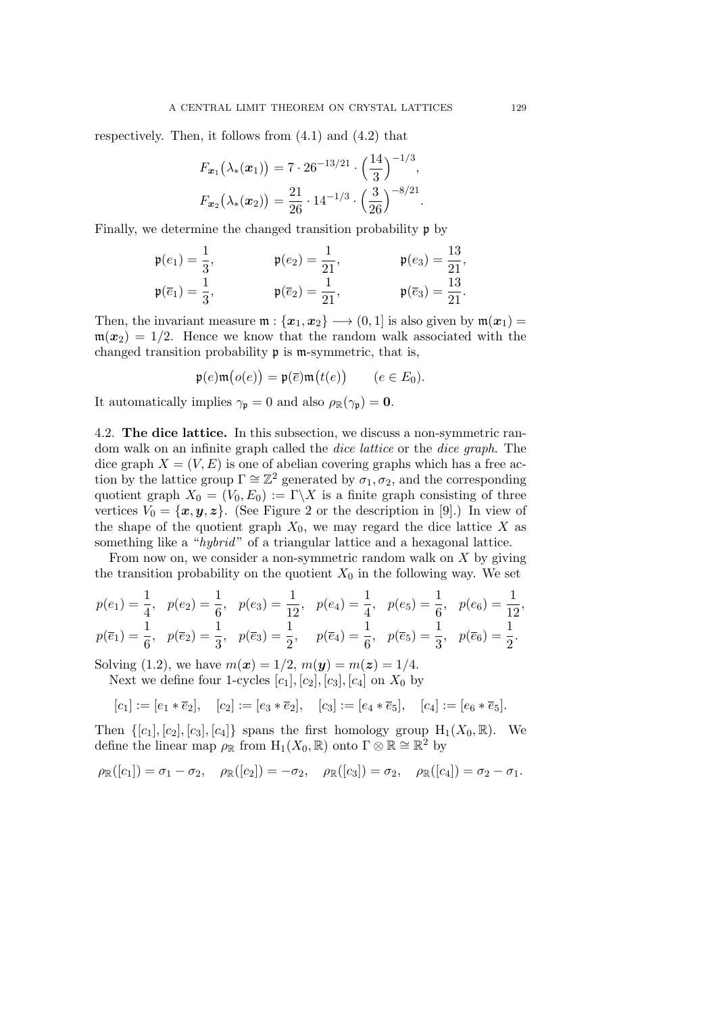respectively. Then, it follows from  $(4.1)$  and  $(4.2)$  that

$$
F_{\boldsymbol{x}_1}(\lambda_*(\boldsymbol{x}_1)) = 7 \cdot 26^{-13/21} \cdot \left(\frac{14}{3}\right)^{-1/3},
$$
  

$$
F_{\boldsymbol{x}_2}(\lambda_*(\boldsymbol{x}_2)) = \frac{21}{26} \cdot 14^{-1/3} \cdot \left(\frac{3}{26}\right)^{-8/21}.
$$

Finally, we determine the changed transition probability p by

$$
\begin{aligned}\n\mathfrak{p}(e_1) &= \frac{1}{3}, & \mathfrak{p}(e_2) &= \frac{1}{21}, & \mathfrak{p}(e_3) &= \frac{13}{21}, \\
\mathfrak{p}(\overline{e}_1) &= \frac{1}{3}, & \mathfrak{p}(\overline{e}_2) &= \frac{1}{21}, & \mathfrak{p}(\overline{e}_3) &= \frac{13}{21}.\n\end{aligned}
$$

Then, the invariant measure  $\mathfrak{m} : {\mathbf{x}_1, \mathbf{x}_2} \rightarrow (0,1]$  is also given by  $\mathfrak{m}(\mathbf{x}_1) =$  $m(x_2) = 1/2$ . Hence we know that the random walk associated with the changed transition probability p is m-symmetric, that is,

$$
\mathfrak{p}(e)\mathfrak{m}\big(o(e)\big) = \mathfrak{p}(\overline{e})\mathfrak{m}\big(t(e)\big) \qquad (e \in E_0).
$$

It automatically implies  $\gamma_{\mathfrak{p}} = 0$  and also  $\rho_{\mathbb{R}}(\gamma_{\mathfrak{p}}) = 0$ .

4.2. **The dice lattice.** In this subsection, we discuss a non-symmetric random walk on an infinite graph called the *dice lattice* or the *dice graph*. The dice graph  $X = (V, E)$  is one of abelian covering graphs which has a free action by the lattice group  $\Gamma \cong \mathbb{Z}^2$  generated by  $\sigma_1, \sigma_2$ , and the corresponding quotient graph  $X_0 = (V_0, E_0) := \Gamma \backslash X$  is a finite graph consisting of three vertices  $V_0 = \{x, y, z\}$ . (See Figure 2 or the description in [9].) In view of the shape of the quotient graph  $X_0$ , we may regard the dice lattice X as something like a "*hybrid* " of a triangular lattice and a hexagonal lattice.

From now on, we consider a non-symmetric random walk on *X* by giving the transition probability on the quotient  $X_0$  in the following way. We set

$$
p(e_1) = \frac{1}{4}, \quad p(e_2) = \frac{1}{6}, \quad p(e_3) = \frac{1}{12}, \quad p(e_4) = \frac{1}{4}, \quad p(e_5) = \frac{1}{6}, \quad p(e_6) = \frac{1}{12}
$$
  

$$
p(\overline{e}_1) = \frac{1}{6}, \quad p(\overline{e}_2) = \frac{1}{3}, \quad p(\overline{e}_3) = \frac{1}{2}, \quad p(\overline{e}_4) = \frac{1}{6}, \quad p(\overline{e}_5) = \frac{1}{3}, \quad p(\overline{e}_6) = \frac{1}{2}.
$$

Solving (1.2), we have  $m(x) = 1/2$ ,  $m(y) = m(z) = 1/4$ .

Next we define four 1-cycles  $[c_1]$ *,*  $[c_2]$ *,*  $[c_3]$ *,*  $[c_4]$  on  $X_0$  by

$$
[c_1] := [e_1 * \overline{e}_2], \quad [c_2] := [e_3 * \overline{e}_2], \quad [c_3] := [e_4 * \overline{e}_5], \quad [c_4] := [e_6 * \overline{e}_5].
$$

Then  $\{[c_1], [c_2], [c_3], [c_4]\}$  spans the first homology group  $H_1(X_0, \mathbb{R})$ . We define the linear map  $\rho_{\mathbb{R}}$  from  $H_1(X_0, \mathbb{R})$  onto  $\Gamma \otimes \mathbb{R} \cong \mathbb{R}^2$  by

$$
\rho_{\mathbb{R}}([c_1]) = \sigma_1 - \sigma_2, \quad \rho_{\mathbb{R}}([c_2]) = -\sigma_2, \quad \rho_{\mathbb{R}}([c_3]) = \sigma_2, \quad \rho_{\mathbb{R}}([c_4]) = \sigma_2 - \sigma_1.
$$

*,*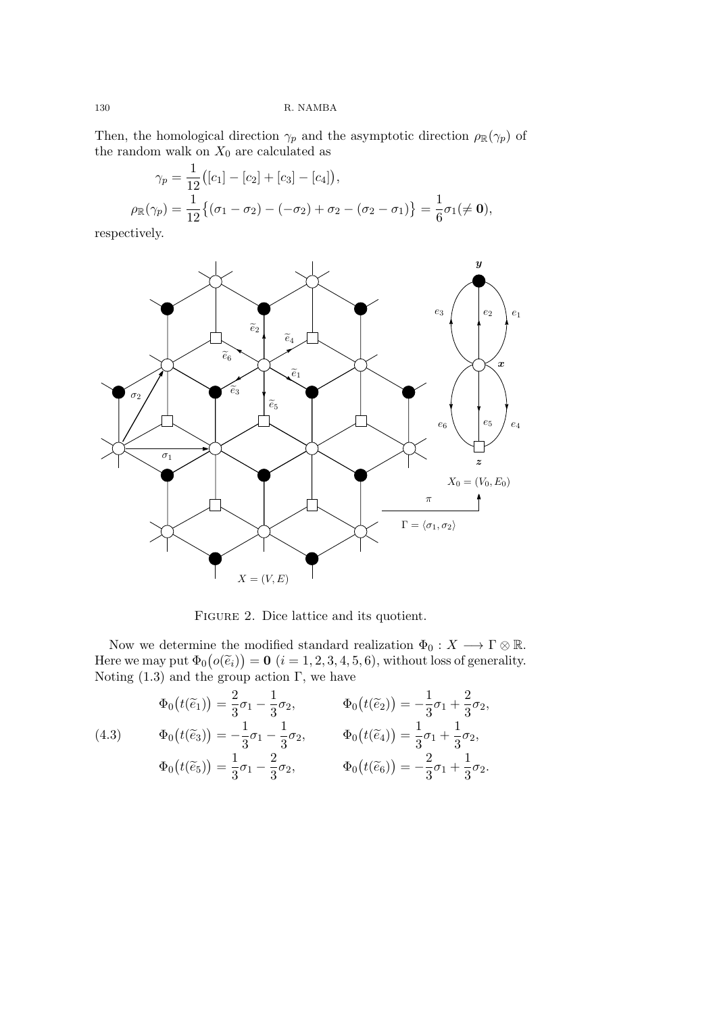Then, the homological direction  $\gamma_p$  and the asymptotic direction  $\rho_{\mathbb{R}}(\gamma_p)$  of the random walk on  $X_0$  are calculated as

$$
\gamma_p = \frac{1}{12} ([c_1] - [c_2] + [c_3] - [c_4]),
$$
  
\n
$$
\rho_{\mathbb{R}}(\gamma_p) = \frac{1}{12} \{ (\sigma_1 - \sigma_2) - (-\sigma_2) + \sigma_2 - (\sigma_2 - \sigma_1) \} = \frac{1}{6} \sigma_1 (\neq \mathbf{0}),
$$

respectively.



FIGURE 2. Dice lattice and its quotient.

Now we determine the modified standard realization  $\Phi_0: X \longrightarrow \Gamma \otimes \mathbb{R}$ . Here we may put  $\Phi_0(o(\tilde{e}_i)) = \mathbf{0}$  ( $i = 1, 2, 3, 4, 5, 6$ ), without loss of generality. Noting  $(1.3)$  and the group action Γ, we have

(4.3) 
$$
\Phi_0(t(\tilde{e}_1)) = \frac{2}{3}\sigma_1 - \frac{1}{3}\sigma_2, \n\Phi_0(t(\tilde{e}_3)) = -\frac{1}{3}\sigma_1 - \frac{1}{3}\sigma_2, \n\Phi_0(t(\tilde{e}_4)) = \frac{1}{3}\sigma_1 + \frac{1}{3}\sigma_2, \n\Phi_0(t(\tilde{e}_5)) = \frac{1}{3}\sigma_1 - \frac{2}{3}\sigma_2, \n\Phi_0(t(\tilde{e}_6)) = -\frac{2}{3}\sigma_1 + \frac{1}{3}\sigma_2.
$$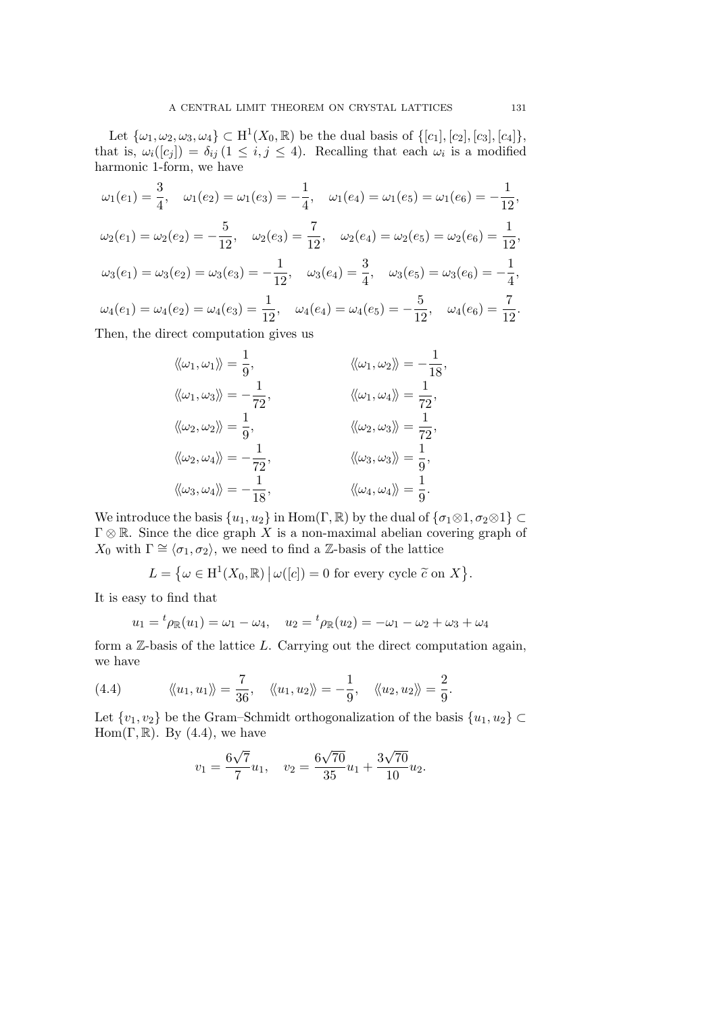Let  $\{\omega_1, \omega_2, \omega_3, \omega_4\} \subset H^1(X_0, \mathbb{R})$  be the dual basis of  $\{[c_1], [c_2], [c_3], [c_4]\},$ that is,  $\omega_i([c_j]) = \delta_{ij} (1 \leq i, j \leq 4)$ . Recalling that each  $\omega_i$  is a modified harmonic 1-form, we have

$$
\omega_1(e_1) = \frac{3}{4}, \quad \omega_1(e_2) = \omega_1(e_3) = -\frac{1}{4}, \quad \omega_1(e_4) = \omega_1(e_5) = \omega_1(e_6) = -\frac{1}{12},
$$
  

$$
\omega_2(e_1) = \omega_2(e_2) = -\frac{5}{12}, \quad \omega_2(e_3) = \frac{7}{12}, \quad \omega_2(e_4) = \omega_2(e_5) = \omega_2(e_6) = \frac{1}{12},
$$
  

$$
\omega_3(e_1) = \omega_3(e_2) = \omega_3(e_3) = -\frac{1}{12}, \quad \omega_3(e_4) = \frac{3}{4}, \quad \omega_3(e_5) = \omega_3(e_6) = -\frac{1}{4},
$$
  

$$
\omega_4(e_1) = \omega_4(e_2) = \omega_4(e_3) = \frac{1}{12}, \quad \omega_4(e_4) = \omega_4(e_5) = -\frac{5}{12}, \quad \omega_4(e_6) = \frac{7}{12}.
$$
Then, the direct computation gives us

Then, the direct computation gives us

$$
\langle \langle \omega_1, \omega_1 \rangle \rangle = \frac{1}{9}, \qquad \langle \langle \omega_1, \omega_2 \rangle \rangle = -\frac{1}{18},
$$
  

$$
\langle \langle \omega_1, \omega_3 \rangle \rangle = -\frac{1}{72}, \qquad \langle \langle \omega_1, \omega_4 \rangle \rangle = \frac{1}{72},
$$
  

$$
\langle \langle \omega_2, \omega_2 \rangle \rangle = \frac{1}{9}, \qquad \langle \langle \omega_2, \omega_3 \rangle \rangle = \frac{1}{72},
$$
  

$$
\langle \langle \omega_2, \omega_4 \rangle \rangle = -\frac{1}{72}, \qquad \langle \langle \omega_3, \omega_3 \rangle \rangle = \frac{1}{9},
$$
  

$$
\langle \langle \omega_3, \omega_4 \rangle \rangle = -\frac{1}{18}, \qquad \langle \langle \omega_4, \omega_4 \rangle \rangle = \frac{1}{9}.
$$

We introduce the basis  $\{u_1, u_2\}$  in Hom( $\Gamma, \mathbb{R}$ ) by the dual of  $\{\sigma_1 \otimes 1, \sigma_2 \otimes 1\} \subset$ Γ *⊗* R. Since the dice graph *X* is a non-maximal abelian covering graph of *X*<sub>0</sub> with  $\Gamma \cong \langle \sigma_1, \sigma_2 \rangle$ , we need to find a Z-basis of the lattice

$$
L = \{ \omega \in \mathrm{H}^1(X_0, \mathbb{R}) \mid \omega([c]) = 0 \text{ for every cycle } \tilde{c} \text{ on } X \}.
$$

It is easy to find that

$$
u_1 = {}^t \rho_{\mathbb{R}}(u_1) = \omega_1 - \omega_4
$$
,  $u_2 = {}^t \rho_{\mathbb{R}}(u_2) = -\omega_1 - \omega_2 + \omega_3 + \omega_4$ 

form a Z-basis of the lattice *L*. Carrying out the direct computation again, we have

(4.4) 
$$
\langle \langle u_1, u_1 \rangle \rangle = \frac{7}{36}, \quad \langle \langle u_1, u_2 \rangle \rangle = -\frac{1}{9}, \quad \langle \langle u_2, u_2 \rangle \rangle = \frac{2}{9}.
$$

Let  $\{v_1, v_2\}$  be the Gram–Schmidt orthogonalization of the basis  $\{u_1, u_2\} \subset$ Hom( $\Gamma$ , R). By (4.4), we have

$$
v_1 = \frac{6\sqrt{7}}{7}u_1, \quad v_2 = \frac{6\sqrt{70}}{35}u_1 + \frac{3\sqrt{70}}{10}u_2.
$$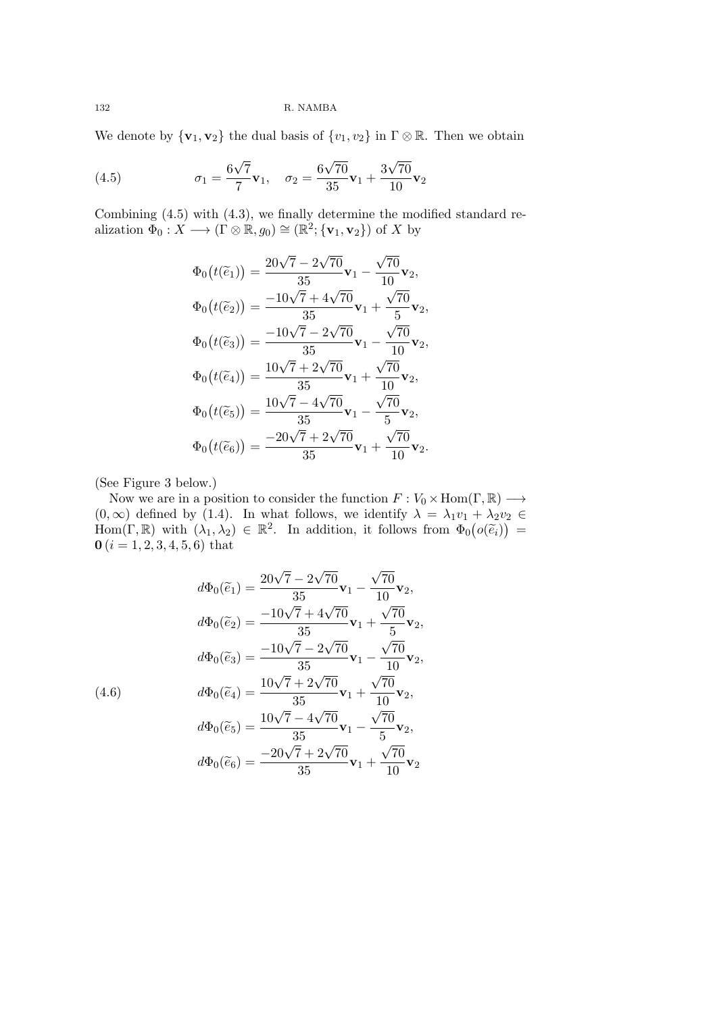We denote by  ${\bf v}_1, {\bf v}_2$  the dual basis of  ${v_1, v_2}$  in  $\Gamma \otimes \mathbb{R}$ . Then we obtain

(4.5) 
$$
\sigma_1 = \frac{6\sqrt{7}}{7}\mathbf{v}_1, \quad \sigma_2 = \frac{6\sqrt{70}}{35}\mathbf{v}_1 + \frac{3\sqrt{70}}{10}\mathbf{v}_2
$$

Combining (4.5) with (4.3), we finally determine the modified standard realization  $\Phi_0: X \longrightarrow (\Gamma \otimes \mathbb{R}, g_0) \cong (\mathbb{R}^2; {\{\mathbf{v}_1, \mathbf{v}_2\}})$  of *X* by

$$
\Phi_0(t(\tilde{e}_1)) = \frac{20\sqrt{7} - 2\sqrt{70}}{35} \mathbf{v}_1 - \frac{\sqrt{70}}{10} \mathbf{v}_2,
$$
  
\n
$$
\Phi_0(t(\tilde{e}_2)) = \frac{-10\sqrt{7} + 4\sqrt{70}}{35} \mathbf{v}_1 + \frac{\sqrt{70}}{5} \mathbf{v}_2,
$$
  
\n
$$
\Phi_0(t(\tilde{e}_3)) = \frac{-10\sqrt{7} - 2\sqrt{70}}{35} \mathbf{v}_1 - \frac{\sqrt{70}}{10} \mathbf{v}_2,
$$
  
\n
$$
\Phi_0(t(\tilde{e}_4)) = \frac{10\sqrt{7} + 2\sqrt{70}}{35} \mathbf{v}_1 + \frac{\sqrt{70}}{10} \mathbf{v}_2,
$$
  
\n
$$
\Phi_0(t(\tilde{e}_5)) = \frac{10\sqrt{7} - 4\sqrt{70}}{35} \mathbf{v}_1 - \frac{\sqrt{70}}{5} \mathbf{v}_2,
$$
  
\n
$$
\Phi_0(t(\tilde{e}_6)) = \frac{-20\sqrt{7} + 2\sqrt{70}}{35} \mathbf{v}_1 + \frac{\sqrt{70}}{10} \mathbf{v}_2.
$$

(See Figure 3 below.)

Now we are in a position to consider the function  $F: V_0 \times Hom(\Gamma, \mathbb{R}) \longrightarrow$  $(0, \infty)$  defined by (1.4). In what follows, we identify  $\lambda = \lambda_1 v_1 + \lambda_2 v_2 \in$ Hom(Γ, ℝ) with  $(\lambda_1, \lambda_2) \in \mathbb{R}^2$ . In addition, it follows from  $\Phi_0(o(\tilde{e}_i))$  =  **(***i* **= 1, 2, 3, 4, 5, 6) that** 

$$
d\Phi_0(\tilde{e}_1) = \frac{20\sqrt{7} - 2\sqrt{70}}{35} \mathbf{v}_1 - \frac{\sqrt{70}}{10} \mathbf{v}_2,
$$
  
\n
$$
d\Phi_0(\tilde{e}_2) = \frac{-10\sqrt{7} + 4\sqrt{70}}{35} \mathbf{v}_1 + \frac{\sqrt{70}}{5} \mathbf{v}_2,
$$
  
\n
$$
d\Phi_0(\tilde{e}_3) = \frac{-10\sqrt{7} - 2\sqrt{70}}{35} \mathbf{v}_1 - \frac{\sqrt{70}}{10} \mathbf{v}_2,
$$
  
\n
$$
(4.6) \qquad d\Phi_0(\tilde{e}_4) = \frac{10\sqrt{7} + 2\sqrt{70}}{35} \mathbf{v}_1 + \frac{\sqrt{70}}{10} \mathbf{v}_2,
$$
  
\n
$$
d\Phi_0(\tilde{e}_5) = \frac{10\sqrt{7} - 4\sqrt{70}}{35} \mathbf{v}_1 - \frac{\sqrt{70}}{5} \mathbf{v}_2,
$$
  
\n
$$
d\Phi_0(\tilde{e}_6) = \frac{-20\sqrt{7} + 2\sqrt{70}}{35} \mathbf{v}_1 + \frac{\sqrt{70}}{10} \mathbf{v}_2
$$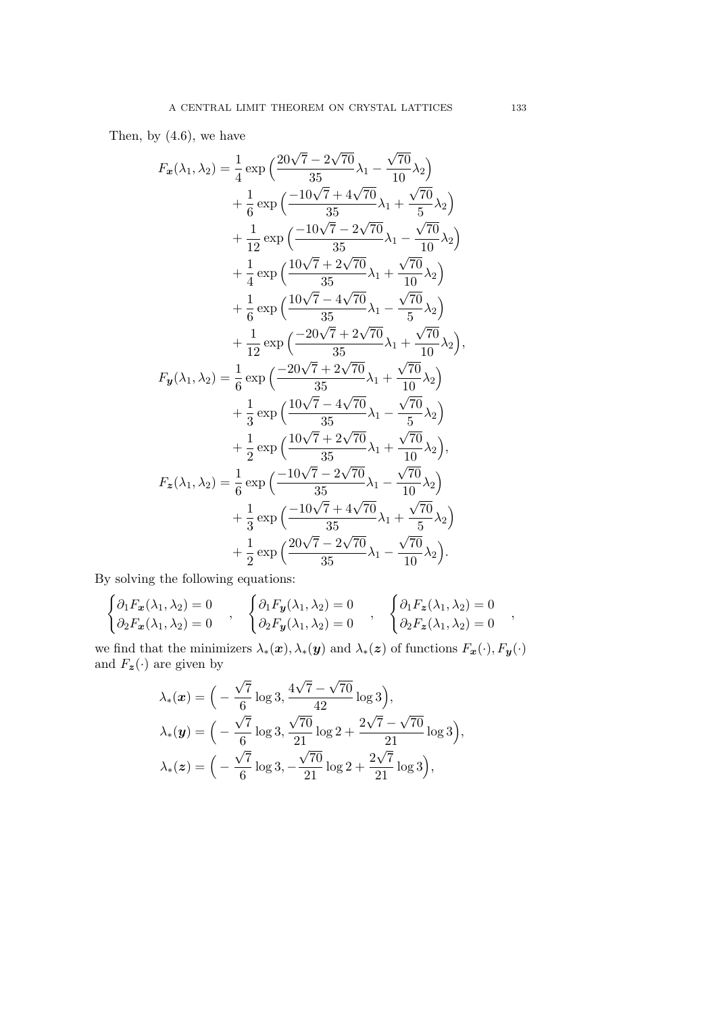Then, by (4.6), we have

$$
F_{x}(\lambda_{1},\lambda_{2}) = \frac{1}{4} \exp\left(\frac{20\sqrt{7}-2\sqrt{70}}{35}\lambda_{1}-\frac{\sqrt{70}}{10}\lambda_{2}\right) + \frac{1}{6} \exp\left(\frac{-10\sqrt{7}+4\sqrt{70}}{35}\lambda_{1}+\frac{\sqrt{70}}{5}\lambda_{2}\right) + \frac{1}{12} \exp\left(\frac{-10\sqrt{7}-2\sqrt{70}}{35}\lambda_{1}-\frac{\sqrt{70}}{10}\lambda_{2}\right) + \frac{1}{4} \exp\left(\frac{10\sqrt{7}+2\sqrt{70}}{35}\lambda_{1}+\frac{\sqrt{70}}{10}\lambda_{2}\right) + \frac{1}{6} \exp\left(\frac{10\sqrt{7}-4\sqrt{70}}{35}\lambda_{1}-\frac{\sqrt{70}}{5}\lambda_{2}\right) + \frac{1}{6} \exp\left(\frac{-20\sqrt{7}+2\sqrt{70}}{35}\lambda_{1}+\frac{\sqrt{70}}{10}\lambda_{2}\right),
$$
  

$$
F_{y}(\lambda_{1},\lambda_{2}) = \frac{1}{6} \exp\left(\frac{-20\sqrt{7}+2\sqrt{70}}{35}\lambda_{1}+\frac{\sqrt{70}}{10}\lambda_{2}\right) + \frac{1}{3} \exp\left(\frac{10\sqrt{7}-4\sqrt{70}}{35}\lambda_{1}-\frac{\sqrt{70}}{5}\lambda_{2}\right) + \frac{1}{2} \exp\left(\frac{10\sqrt{7}+2\sqrt{70}}{35}\lambda_{1}+\frac{\sqrt{70}}{10}\lambda_{2}\right),
$$
  

$$
F_{z}(\lambda_{1},\lambda_{2}) = \frac{1}{6} \exp\left(\frac{-10\sqrt{7}-2\sqrt{70}}{35}\lambda_{1}-\frac{\sqrt{70}}{10}\lambda_{2}\right) + \frac{1}{3} \exp\left(\frac{-10\sqrt{7}-2\sqrt{70}}{35}\lambda_{1}+\frac{\sqrt{70}}{5}\lambda_{2}\right) + \frac{1}{2} \exp\left(\frac{20\sqrt{7}-2\sqrt{70}}{35}\lambda_{1}-\frac{\sqrt{70}}{10}\lambda_{2}\right).
$$

By solving the following equations:  $\overline{\phantom{a}}$ 

$$
\begin{cases}\n\partial_1 F_x(\lambda_1, \lambda_2) = 0 \\
\partial_2 F_x(\lambda_1, \lambda_2) = 0\n\end{cases}, \quad\n\begin{cases}\n\partial_1 F_y(\lambda_1, \lambda_2) = 0 \\
\partial_2 F_y(\lambda_1, \lambda_2) = 0\n\end{cases}, \quad\n\begin{cases}\n\partial_1 F_z(\lambda_1, \lambda_2) = 0 \\
\partial_2 F_z(\lambda_1, \lambda_2) = 0\n\end{cases},
$$

we find that the minimizers  $\lambda_*(\bm{x}), \lambda_*(\bm{y})$  and  $\lambda_*(\bm{z})$  of functions  $F_{\bm{x}}(\cdot), F_{\bm{y}}(\cdot)$ and  $F_z(\cdot)$  are given by

$$
\lambda_*(x) = \Big( -\frac{\sqrt{7}}{6} \log 3, \frac{4\sqrt{7} - \sqrt{70}}{42} \log 3 \Big), \lambda_*(y) = \Big( -\frac{\sqrt{7}}{6} \log 3, \frac{\sqrt{70}}{21} \log 2 + \frac{2\sqrt{7} - \sqrt{70}}{21} \log 3 \Big), \lambda_*(z) = \Big( -\frac{\sqrt{7}}{6} \log 3, -\frac{\sqrt{70}}{21} \log 2 + \frac{2\sqrt{7}}{21} \log 3 \Big),
$$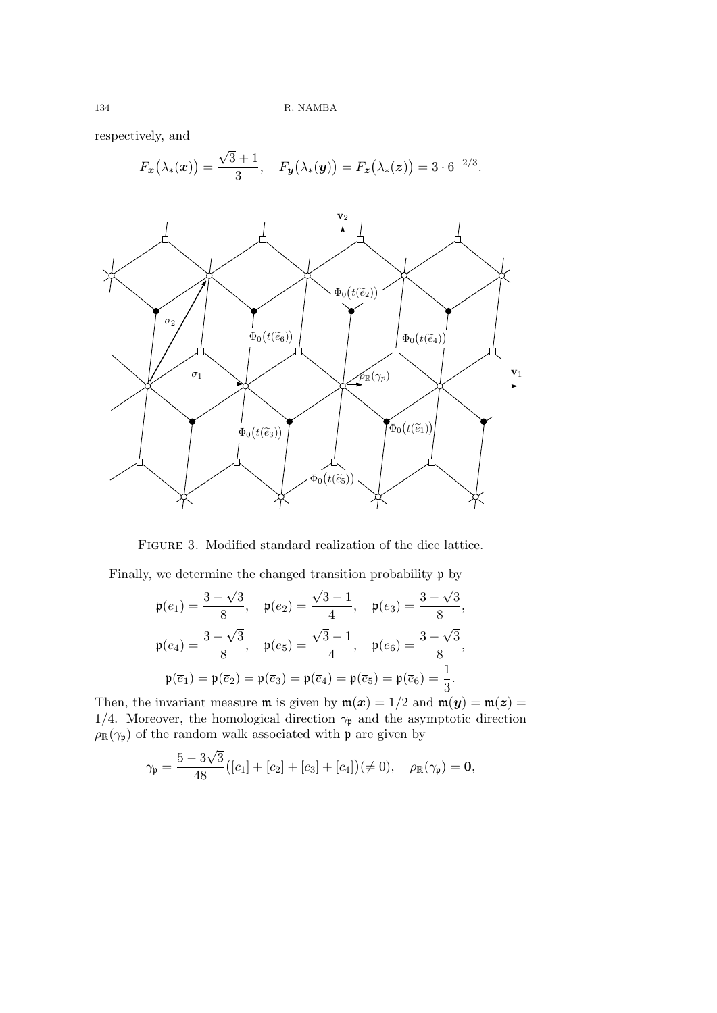respectively, and

$$
F_{\boldsymbol{x}}(\lambda_*(\boldsymbol{x})) = \frac{\sqrt{3}+1}{3}, \quad F_{\boldsymbol{y}}(\lambda_*(\boldsymbol{y})) = F_{\boldsymbol{z}}(\lambda_*(\boldsymbol{z})) = 3 \cdot 6^{-2/3}.
$$



Figure 3. Modified standard realization of the dice lattice.

Finally, we determine the changed transition probability p by

$$
\mathfrak{p}(e_1) = \frac{3 - \sqrt{3}}{8}, \quad \mathfrak{p}(e_2) = \frac{\sqrt{3} - 1}{4}, \quad \mathfrak{p}(e_3) = \frac{3 - \sqrt{3}}{8},
$$

$$
\mathfrak{p}(e_4) = \frac{3 - \sqrt{3}}{8}, \quad \mathfrak{p}(e_5) = \frac{\sqrt{3} - 1}{4}, \quad \mathfrak{p}(e_6) = \frac{3 - \sqrt{3}}{8},
$$

$$
\mathfrak{p}(\overline{e}_1) = \mathfrak{p}(\overline{e}_2) = \mathfrak{p}(\overline{e}_3) = \mathfrak{p}(\overline{e}_4) = \mathfrak{p}(\overline{e}_5) = \mathfrak{p}(\overline{e}_6) = \frac{1}{3}.
$$

Then, the invariant measure  $m$  is given by  $m(x) = 1/2$  and  $m(y) = m(z) =$ 1/4. Moreover, the homological direction  $\gamma_p$  and the asymptotic direction  $\rho_{\mathbb{R}}(\gamma_{\mathfrak{p}})$  of the random walk associated with  $\mathfrak{p}$  are given by

$$
\gamma_{\mathfrak{p}} = \frac{5 - 3\sqrt{3}}{48} ([c_1] + [c_2] + [c_3] + [c_4]) (\neq 0), \quad \rho_{\mathbb{R}}(\gamma_{\mathfrak{p}}) = \mathbf{0},
$$